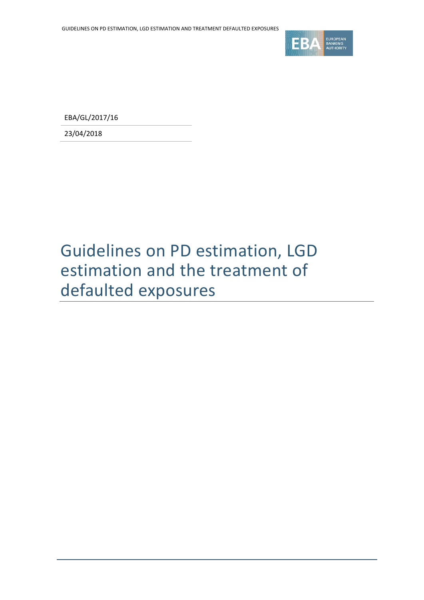

EBA/GL/2017/16

23/04/2018

# Guidelines on PD estimation, LGD estimation and the treatment of defaulted exposures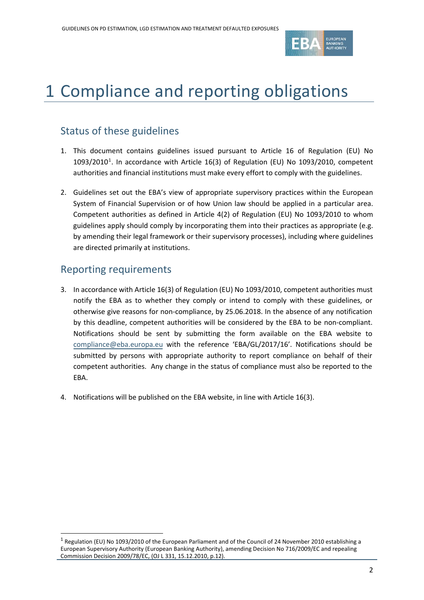

# 1 Compliance and reporting obligations

## Status of these guidelines

- 1. This document contains guidelines issued pursuant to Article 16 of Regulation (EU) No  $1093/2010<sup>1</sup>$  $1093/2010<sup>1</sup>$ . In accordance with Article 16(3) of Regulation (EU) No 1093/2010, competent authorities and financial institutions must make every effort to comply with the guidelines.
- 2. Guidelines set out the EBA's view of appropriate supervisory practices within the European System of Financial Supervision or of how Union law should be applied in a particular area. Competent authorities as defined in Article 4(2) of Regulation (EU) No 1093/2010 to whom guidelines apply should comply by incorporating them into their practices as appropriate (e.g. by amending their legal framework or their supervisory processes), including where guidelines are directed primarily at institutions.

### Reporting requirements

- 3. In accordance with Article 16(3) of Regulation (EU) No 1093/2010, competent authorities must notify the EBA as to whether they comply or intend to comply with these guidelines, or otherwise give reasons for non-compliance, by 25.06.2018. In the absence of any notification by this deadline, competent authorities will be considered by the EBA to be non-compliant. Notifications should be sent by submitting the form available on the EBA website to [compliance@eba.europa.eu](mailto:compliance@eba.europa.eu) with the reference 'EBA/GL/2017/16'. Notifications should be submitted by persons with appropriate authority to report compliance on behalf of their competent authorities. Any change in the status of compliance must also be reported to the EBA.
- 4. Notifications will be published on the EBA website, in line with Article 16(3).

<span id="page-1-0"></span><sup>1</sup> Regulation (EU) No 1093/2010 of the European Parliament and of the Council of 24 November 2010 establishing a European Supervisory Authority (European Banking Authority), amending Decision No 716/2009/EC and repealing Commission Decision 2009/78/EC, (OJ L 331, 15.12.2010, p.12).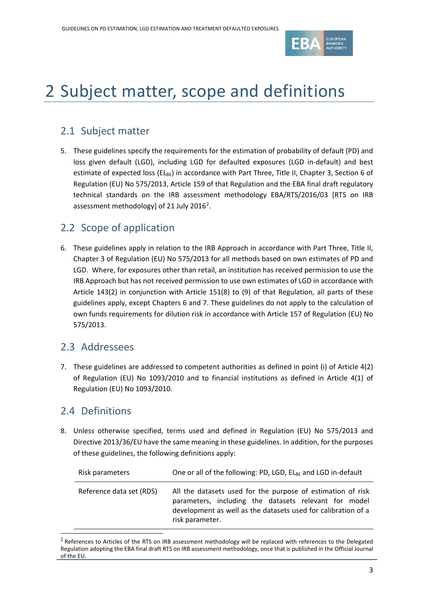

# 2 Subject matter, scope and definitions

## 2.1 Subject matter

5. These guidelines specify the requirements for the estimation of probability of default (PD) and loss given default (LGD), including LGD for defaulted exposures (LGD in-default) and best estimate of expected loss ( $EL_{BE}$ ) in accordance with Part Three, Title II, Chapter 3, Section 6 of Regulation (EU) No 575/2013, Article 159 of that Regulation and the EBA final draft regulatory technical standards on the IRB assessment methodology EBA/RTS/2016/03 [RTS on IRB assessment methodology] of [2](#page-2-0)1 July 2016<sup>2</sup>.

## 2.2 Scope of application

6. These guidelines apply in relation to the IRB Approach in accordance with Part Three, Title II, Chapter 3 of Regulation (EU) No 575/2013 for all methods based on own estimates of PD and LGD. Where, for exposures other than retail, an institution has received permission to use the IRB Approach but has not received permission to use own estimates of LGD in accordance with Article 143(2) in conjunction with Article 151(8) to (9) of that Regulation, all parts of these guidelines apply, except Chapters 6 and 7. These guidelines do not apply to the calculation of own funds requirements for dilution risk in accordance with Article 157 of Regulation (EU) No 575/2013.

## 2.3 Addressees

7. These guidelines are addressed to competent authorities as defined in point (i) of Article 4(2) of Regulation (EU) No 1093/2010 and to financial institutions as defined in Article 4(1) of Regulation (EU) No 1093/2010.

## 2.4 Definitions

 $\overline{a}$ 

8. Unless otherwise specified, terms used and defined in Regulation (EU) No 575/2013 and Directive 2013/36/EU have the same meaning in these guidelines. In addition, for the purposes of these guidelines, the following definitions apply:

| Risk parameters          | One or all of the following: PD, LGD, ELBE and LGD in-default                                                                                                                                            |
|--------------------------|----------------------------------------------------------------------------------------------------------------------------------------------------------------------------------------------------------|
| Reference data set (RDS) | All the datasets used for the purpose of estimation of risk<br>parameters, including the datasets relevant for model<br>development as well as the datasets used for calibration of a<br>risk parameter. |

<span id="page-2-0"></span><sup>&</sup>lt;sup>2</sup> References to Articles of the RTS on IRB assessment methodology will be replaced with references to the Delegated Regulation adopting the EBA final draft RTS on IRB assessment methodology, once that is published in the Official Journal of the EU.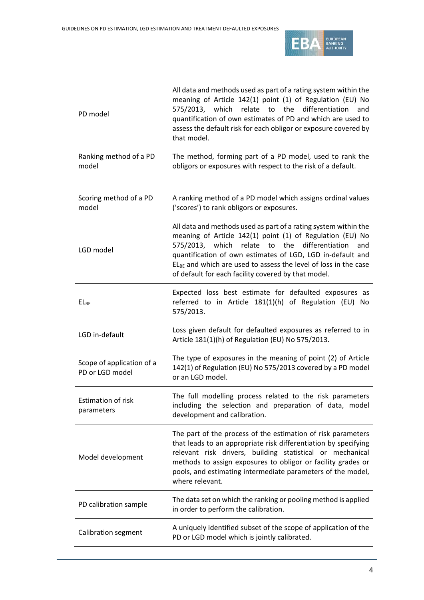

| PD model                                     | All data and methods used as part of a rating system within the<br>meaning of Article 142(1) point (1) of Regulation (EU) No<br>575/2013, which relate to the differentiation<br>and<br>quantification of own estimates of PD and which are used to<br>assess the default risk for each obligor or exposure covered by<br>that model.                                             |
|----------------------------------------------|-----------------------------------------------------------------------------------------------------------------------------------------------------------------------------------------------------------------------------------------------------------------------------------------------------------------------------------------------------------------------------------|
| Ranking method of a PD<br>model              | The method, forming part of a PD model, used to rank the<br>obligors or exposures with respect to the risk of a default.                                                                                                                                                                                                                                                          |
| Scoring method of a PD<br>model              | A ranking method of a PD model which assigns ordinal values<br>('scores') to rank obligors or exposures.                                                                                                                                                                                                                                                                          |
| LGD model                                    | All data and methods used as part of a rating system within the<br>meaning of Article 142(1) point (1) of Regulation (EU) No<br>575/2013, which relate to the differentiation<br>and<br>quantification of own estimates of LGD, LGD in-default and<br>$EL_{BE}$ and which are used to assess the level of loss in the case<br>of default for each facility covered by that model. |
| $EL_{BE}$                                    | Expected loss best estimate for defaulted exposures as<br>referred to in Article 181(1)(h) of Regulation (EU) No<br>575/2013.                                                                                                                                                                                                                                                     |
| LGD in-default                               | Loss given default for defaulted exposures as referred to in<br>Article 181(1)(h) of Regulation (EU) No 575/2013.                                                                                                                                                                                                                                                                 |
| Scope of application of a<br>PD or LGD model | The type of exposures in the meaning of point (2) of Article<br>142(1) of Regulation (EU) No 575/2013 covered by a PD model<br>or an LGD model.                                                                                                                                                                                                                                   |
| <b>Estimation of risk</b><br>parameters      | The full modelling process related to the risk parameters<br>including the selection and preparation of data, model<br>development and calibration.                                                                                                                                                                                                                               |
| Model development                            | The part of the process of the estimation of risk parameters<br>that leads to an appropriate risk differentiation by specifying<br>relevant risk drivers, building statistical or mechanical<br>methods to assign exposures to obligor or facility grades or<br>pools, and estimating intermediate parameters of the model,<br>where relevant.                                    |
| PD calibration sample                        | The data set on which the ranking or pooling method is applied<br>in order to perform the calibration.                                                                                                                                                                                                                                                                            |
| Calibration segment                          | A uniquely identified subset of the scope of application of the<br>PD or LGD model which is jointly calibrated.                                                                                                                                                                                                                                                                   |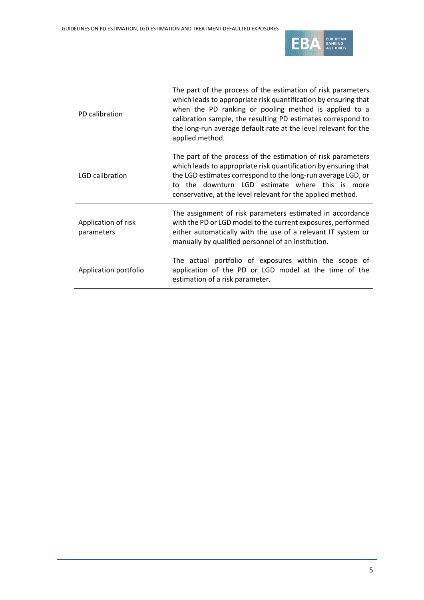

| PD calibration                    | The part of the process of the estimation of risk parameters<br>which leads to appropriate risk quantification by ensuring that<br>when the PD ranking or pooling method is applied to a<br>calibration sample, the resulting PD estimates correspond to<br>the long-run average default rate at the level relevant for the<br>applied method. |
|-----------------------------------|------------------------------------------------------------------------------------------------------------------------------------------------------------------------------------------------------------------------------------------------------------------------------------------------------------------------------------------------|
| LGD calibration                   | The part of the process of the estimation of risk parameters<br>which leads to appropriate risk quantification by ensuring that<br>the LGD estimates correspond to the long-run average LGD, or<br>to the downturn LGD estimate where this is more<br>conservative, at the level relevant for the applied method.                              |
| Application of risk<br>parameters | The assignment of risk parameters estimated in accordance<br>with the PD or LGD model to the current exposures, performed<br>either automatically with the use of a relevant IT system or<br>manually by qualified personnel of an institution.                                                                                                |
| Application portfolio             | The actual portfolio of exposures within the scope of<br>application of the PD or LGD model at the time of the<br>estimation of a risk parameter.                                                                                                                                                                                              |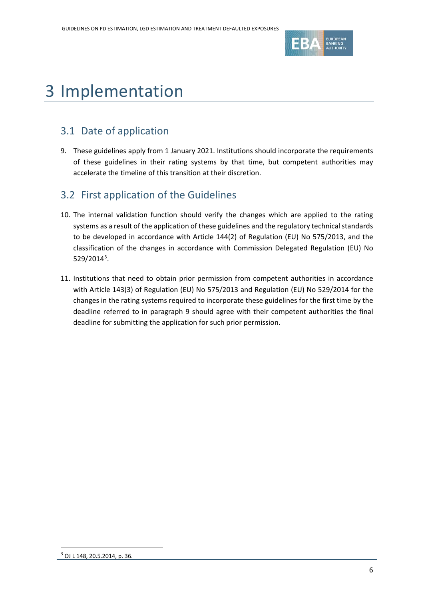

# 3 Implementation

## 3.1 Date of application

<span id="page-5-0"></span>9. These guidelines apply from 1 January 2021. Institutions should incorporate the requirements of these guidelines in their rating systems by that time, but competent authorities may accelerate the timeline of this transition at their discretion.

## 3.2 First application of the Guidelines

- 10. The internal validation function should verify the changes which are applied to the rating systems as a result of the application of these guidelines and the regulatory technical standards to be developed in accordance with Article 144(2) of Regulation (EU) No 575/2013, and the classification of the changes in accordance with Commission Delegated Regulation (EU) No 529/2014[3](#page-5-1) .
- 11. Institutions that need to obtain prior permission from competent authorities in accordance with Article 143(3) of Regulation (EU) No 575/2013 and Regulation (EU) No 529/2014 for the changes in the rating systems required to incorporate these guidelines for the first time by the deadline referred to in paragraph [9](#page-5-0) should agree with their competent authorities the final deadline for submitting the application for such prior permission.

<span id="page-5-1"></span> $\overline{a}$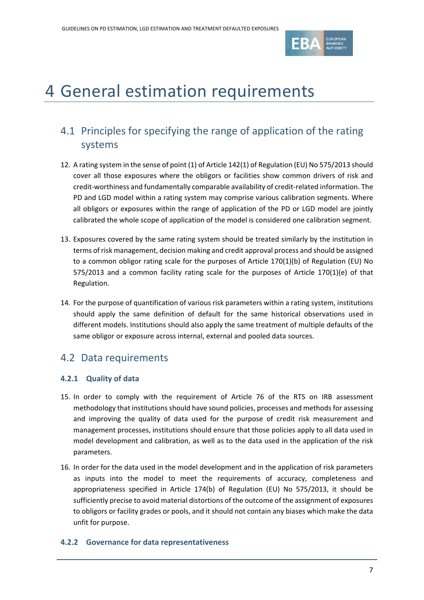

# 4 General estimation requirements

## 4.1 Principles for specifying the range of application of the rating systems

- 12. A rating system in the sense of point (1) of Article 142(1) of Regulation (EU) No 575/2013 should cover all those exposures where the obligors or facilities show common drivers of risk and credit-worthiness and fundamentally comparable availability of credit-related information. The PD and LGD model within a rating system may comprise various calibration segments. Where all obligors or exposures within the range of application of the PD or LGD model are jointly calibrated the whole scope of application of the model is considered one calibration segment.
- 13. Exposures covered by the same rating system should be treated similarly by the institution in terms of risk management, decision making and credit approval process and should be assigned to a common obligor rating scale for the purposes of Article 170(1)(b) of Regulation (EU) No 575/2013 and a common facility rating scale for the purposes of Article 170(1)(e) of that Regulation.
- 14. For the purpose of quantification of various risk parameters within a rating system, institutions should apply the same definition of default for the same historical observations used in different models. Institutions should also apply the same treatment of multiple defaults of the same obligor or exposure across internal, external and pooled data sources.

## 4.2 Data requirements

#### **4.2.1 Quality of data**

- 15. In order to comply with the requirement of Article 76 of the RTS on IRB assessment methodology that institutions should have sound policies, processes and methods for assessing and improving the quality of data used for the purpose of credit risk measurement and management processes, institutions should ensure that those policies apply to all data used in model development and calibration, as well as to the data used in the application of the risk parameters.
- 16. In order for the data used in the model development and in the application of risk parameters as inputs into the model to meet the requirements of accuracy, completeness and appropriateness specified in Article 174(b) of Regulation (EU) No 575/2013, it should be sufficiently precise to avoid material distortions of the outcome of the assignment of exposures to obligors or facility grades or pools, and it should not contain any biases which make the data unfit for purpose.

#### **4.2.2 Governance for data representativeness**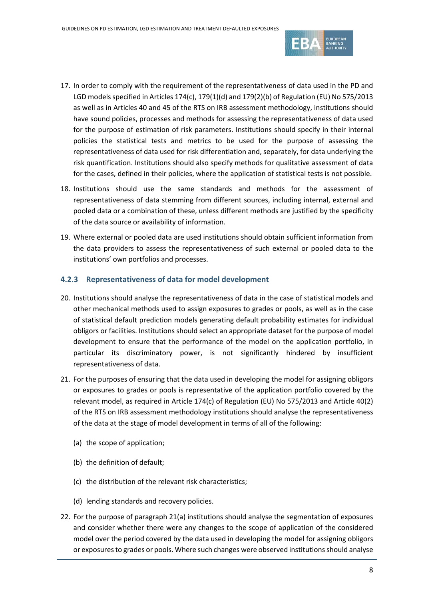

- 17. In order to comply with the requirement of the representativeness of data used in the PD and LGD models specified in Articles 174(c), 179(1)(d) and 179(2)(b) of Regulation (EU) No 575/2013 as well as in Articles 40 and 45 of the RTS on IRB assessment methodology, institutions should have sound policies, processes and methods for assessing the representativeness of data used for the purpose of estimation of risk parameters. Institutions should specify in their internal policies the statistical tests and metrics to be used for the purpose of assessing the representativeness of data used for risk differentiation and, separately, for data underlying the risk quantification. Institutions should also specify methods for qualitative assessment of data for the cases, defined in their policies, where the application of statistical tests is not possible.
- 18. Institutions should use the same standards and methods for the assessment of representativeness of data stemming from different sources, including internal, external and pooled data or a combination of these, unless different methods are justified by the specificity of the data source or availability of information.
- 19. Where external or pooled data are used institutions should obtain sufficient information from the data providers to assess the representativeness of such external or pooled data to the institutions' own portfolios and processes.

#### **4.2.3 Representativeness of data for model development**

- 20. Institutions should analyse the representativeness of data in the case of statistical models and other mechanical methods used to assign exposures to grades or pools, as well as in the case of statistical default prediction models generating default probability estimates for individual obligors or facilities. Institutions should select an appropriate dataset for the purpose of model development to ensure that the performance of the model on the application portfolio, in particular its discriminatory power, is not significantly hindered by insufficient representativeness of data.
- <span id="page-7-0"></span>21. For the purposes of ensuring that the data used in developing the model for assigning obligors or exposures to grades or pools is representative of the application portfolio covered by the relevant model, as required in Article 174(c) of Regulation (EU) No 575/2013 and Article 40(2) of the RTS on IRB assessment methodology institutions should analyse the representativeness of the data at the stage of model development in terms of all of the following:
	- (a) the scope of application;
	- (b) the definition of default;
	- (c) the distribution of the relevant risk characteristics;
	- (d) lending standards and recovery policies.
- <span id="page-7-1"></span>22. For the purpose of paragrap[h 21\(a\)](#page-7-0) institutions should analyse the segmentation of exposures and consider whether there were any changes to the scope of application of the considered model over the period covered by the data used in developing the model for assigning obligors or exposures to grades or pools. Where such changes were observed institutions should analyse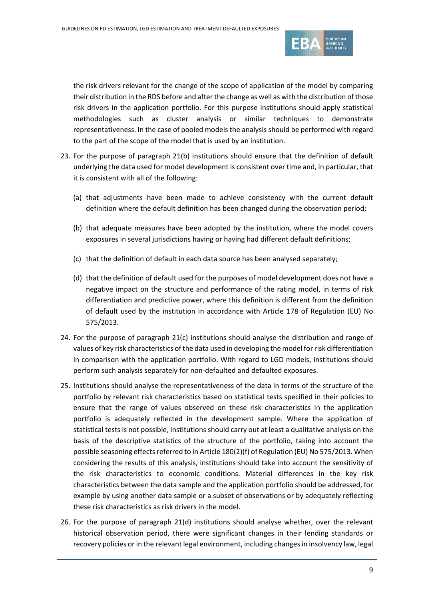

the risk drivers relevant for the change of the scope of application of the model by comparing their distribution in the RDS before and after the change as well as with the distribution of those risk drivers in the application portfolio. For this purpose institutions should apply statistical methodologies such as cluster analysis or similar techniques to demonstrate representativeness. In the case of pooled models the analysis should be performed with regard to the part of the scope of the model that is used by an institution.

- <span id="page-8-3"></span>23. For the purpose of paragraph [21\(b\)](#page-7-0) institutions should ensure that the definition of default underlying the data used for model development is consistent over time and, in particular, that it is consistent with all of the following:
	- (a) that adjustments have been made to achieve consistency with the current default definition where the default definition has been changed during the observation period;
	- (b) that adequate measures have been adopted by the institution, where the model covers exposures in several jurisdictions having or having had different default definitions;
	- (c) that the definition of default in each data source has been analysed separately;
	- (d) that the definition of default used for the purposes of model development does not have a negative impact on the structure and performance of the rating model, in terms of risk differentiation and predictive power, where this definition is different from the definition of default used by the institution in accordance with Article 178 of Regulation (EU) No 575/2013.
- <span id="page-8-0"></span>24. For the purpose of paragraph [21\(c\)](#page-7-0) institutions should analyse the distribution and range of values of key risk characteristics of the data used in developing the model for risk differentiation in comparison with the application portfolio. With regard to LGD models, institutions should perform such analysis separately for non-defaulted and defaulted exposures.
- <span id="page-8-1"></span>25. Institutions should analyse the representativeness of the data in terms of the structure of the portfolio by relevant risk characteristics based on statistical tests specified in their policies to ensure that the range of values observed on these risk characteristics in the application portfolio is adequately reflected in the development sample. Where the application of statistical tests is not possible, institutions should carry out at least a qualitative analysis on the basis of the descriptive statistics of the structure of the portfolio, taking into account the possible seasoning effects referred to in Article 180(2)(f) of Regulation (EU) No 575/2013. When considering the results of this analysis, institutions should take into account the sensitivity of the risk characteristics to economic conditions. Material differences in the key risk characteristics between the data sample and the application portfolio should be addressed, for example by using another data sample or a subset of observations or by adequately reflecting these risk characteristics as risk drivers in the model.
- <span id="page-8-2"></span>26. For the purpose of paragraph [21\(d\)](#page-7-0) institutions should analyse whether, over the relevant historical observation period, there were significant changes in their lending standards or recovery policies or in the relevant legal environment, including changes in insolvency law, legal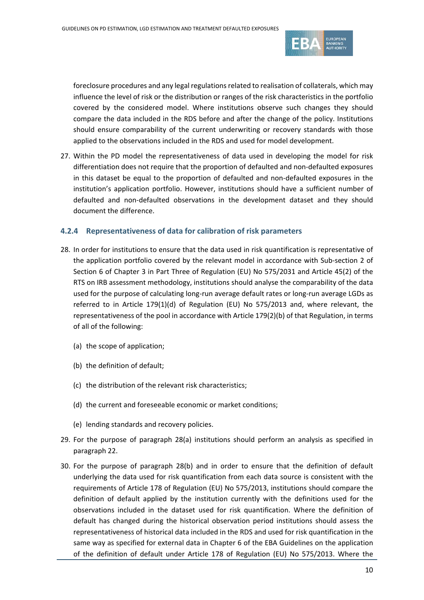

foreclosure procedures and any legal regulations related to realisation of collaterals, which may influence the level of risk or the distribution or ranges of the risk characteristics in the portfolio covered by the considered model. Where institutions observe such changes they should compare the data included in the RDS before and after the change of the policy. Institutions should ensure comparability of the current underwriting or recovery standards with those applied to the observations included in the RDS and used for model development.

27. Within the PD model the representativeness of data used in developing the model for risk differentiation does not require that the proportion of defaulted and non-defaulted exposures in this dataset be equal to the proportion of defaulted and non-defaulted exposures in the institution's application portfolio. However, institutions should have a sufficient number of defaulted and non-defaulted observations in the development dataset and they should document the difference.

#### <span id="page-9-1"></span>**4.2.4 Representativeness of data for calibration of risk parameters**

- <span id="page-9-0"></span>28. In order for institutions to ensure that the data used in risk quantification is representative of the application portfolio covered by the relevant model in accordance with Sub-section 2 of Section 6 of Chapter 3 in Part Three of Regulation (EU) No 575/2031 and Article 45(2) of the RTS on IRB assessment methodology, institutions should analyse the comparability of the data used for the purpose of calculating long-run average default rates or long-run average LGDs as referred to in Article 179(1)(d) of Regulation (EU) No 575/2013 and, where relevant, the representativeness of the pool in accordance with Article 179(2)(b) of that Regulation, in terms of all of the following:
	- (a) the scope of application;
	- (b) the definition of default;
	- (c) the distribution of the relevant risk characteristics;
	- (d) the current and foreseeable economic or market conditions;
	- (e) lending standards and recovery policies.
- 29. For the purpose of paragraph [28\(a\)](#page-9-0) institutions should perform an analysis as specified in paragrap[h 22.](#page-7-1)
- 30. For the purpose of paragraph [28\(b\)](#page-9-0) and in order to ensure that the definition of default underlying the data used for risk quantification from each data source is consistent with the requirements of Article 178 of Regulation (EU) No 575/2013, institutions should compare the definition of default applied by the institution currently with the definitions used for the observations included in the dataset used for risk quantification. Where the definition of default has changed during the historical observation period institutions should assess the representativeness of historical data included in the RDS and used for risk quantification in the same way as specified for external data in Chapter 6 of the EBA Guidelines on the application of the definition of default under Article 178 of Regulation (EU) No 575/2013. Where the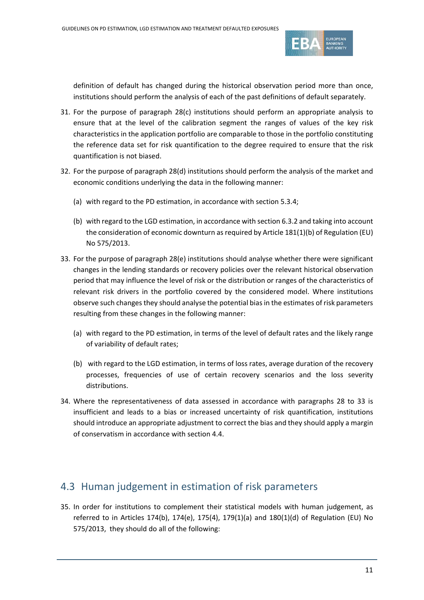

definition of default has changed during the historical observation period more than once, institutions should perform the analysis of each of the past definitions of default separately.

- 31. For the purpose of paragraph [28\(c\)](#page-9-0) institutions should perform an appropriate analysis to ensure that at the level of the calibration segment the ranges of values of the key risk characteristics in the application portfolio are comparable to those in the portfolio constituting the reference data set for risk quantification to the degree required to ensure that the risk quantification is not biased.
- 32. For the purpose of paragraph [28\(d\)](#page-9-0) institutions should perform the analysis of the market and economic conditions underlying the data in the following manner:
	- (a) with regard to the PD estimation, in accordance with section [5.3.4;](#page-22-0)
	- (b) with regard to the LGD estimation, in accordance with section [6.3.2](#page-39-0) and taking into account the consideration of economic downturn as required by Article 181(1)(b) of Regulation (EU) No 575/2013.
- <span id="page-10-0"></span>33. For the purpose of paragraph [28\(e\)](#page-9-0) institutions should analyse whether there were significant changes in the lending standards or recovery policies over the relevant historical observation period that may influence the level of risk or the distribution or ranges of the characteristics of relevant risk drivers in the portfolio covered by the considered model. Where institutions observe such changes they should analyse the potential biasin the estimates of risk parameters resulting from these changes in the following manner:
	- (a) with regard to the PD estimation, in terms of the level of default rates and the likely range of variability of default rates;
	- (b) with regard to the LGD estimation, in terms of loss rates, average duration of the recovery processes, frequencies of use of certain recovery scenarios and the loss severity distributions.
- 34. Where the representativeness of data assessed in accordance with paragraphs [28](#page-9-0) to [33](#page-10-0) is insufficient and leads to a bias or increased uncertainty of risk quantification, institutions should introduce an appropriate adjustment to correct the bias and they should apply a margin of conservatism in accordance with section [4.4.](#page-11-0)

### 4.3 Human judgement in estimation of risk parameters

35. In order for institutions to complement their statistical models with human judgement, as referred to in Articles 174(b), 174(e), 175(4), 179(1)(a) and 180(1)(d) of Regulation (EU) No 575/2013, they should do all of the following: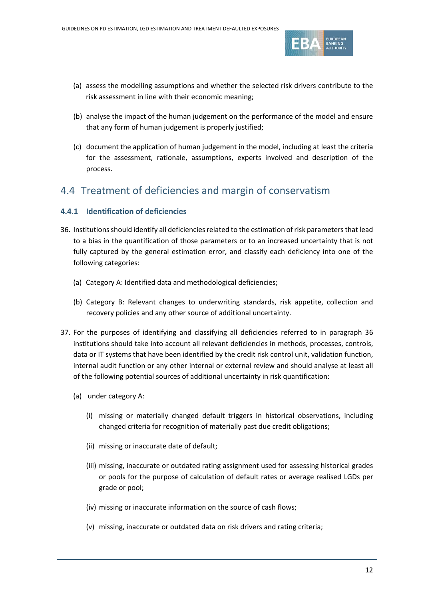

- (a) assess the modelling assumptions and whether the selected risk drivers contribute to the risk assessment in line with their economic meaning;
- (b) analyse the impact of the human judgement on the performance of the model and ensure that any form of human judgement is properly justified;
- (c) document the application of human judgement in the model, including at least the criteria for the assessment, rationale, assumptions, experts involved and description of the process.

### <span id="page-11-0"></span>4.4 Treatment of deficiencies and margin of conservatism

#### **4.4.1 Identification of deficiencies**

- <span id="page-11-1"></span>36. Institutions should identify all deficiencies related to the estimation of risk parameters that lead to a bias in the quantification of those parameters or to an increased uncertainty that is not fully captured by the general estimation error, and classify each deficiency into one of the following categories:
	- (a) Category A: Identified data and methodological deficiencies;
	- (b) Category B: Relevant changes to underwriting standards, risk appetite, collection and recovery policies and any other source of additional uncertainty.
- <span id="page-11-2"></span>37. For the purposes of identifying and classifying all deficiencies referred to in paragraph [36](#page-11-1) institutions should take into account all relevant deficiencies in methods, processes, controls, data or IT systems that have been identified by the credit risk control unit, validation function, internal audit function or any other internal or external review and should analyse at least all of the following potential sources of additional uncertainty in risk quantification:
	- (a) under category A:
		- (i) missing or materially changed default triggers in historical observations, including changed criteria for recognition of materially past due credit obligations;
		- (ii) missing or inaccurate date of default;
		- (iii) missing, inaccurate or outdated rating assignment used for assessing historical grades or pools for the purpose of calculation of default rates or average realised LGDs per grade or pool;
		- (iv) missing or inaccurate information on the source of cash flows;
		- (v) missing, inaccurate or outdated data on risk drivers and rating criteria;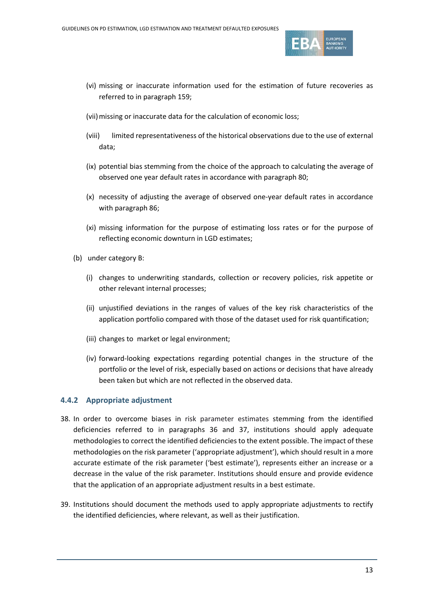

- (vi) missing or inaccurate information used for the estimation of future recoveries as referred to in paragrap[h 159;](#page-42-0)
- (vii)missing or inaccurate data for the calculation of economic loss;
- (viii) limited representativeness of the historical observations due to the use of external data;
- (ix) potential bias stemming from the choice of the approach to calculating the average of observed one year default rates in accordance with paragraph [80;](#page-22-1)
- (x) necessity of adjusting the average of observed one-year default rates in accordance with paragrap[h 86;](#page-23-0)
- (xi) missing information for the purpose of estimating loss rates or for the purpose of reflecting economic downturn in LGD estimates;
- (b) under category B:
	- (i) changes to underwriting standards, collection or recovery policies, risk appetite or other relevant internal processes;
	- (ii) unjustified deviations in the ranges of values of the key risk characteristics of the application portfolio compared with those of the dataset used for risk quantification;
	- (iii) changes to market or legal environment;
	- (iv) forward-looking expectations regarding potential changes in the structure of the portfolio or the level of risk, especially based on actions or decisions that have already been taken but which are not reflected in the observed data.

#### **4.4.2 Appropriate adjustment**

- <span id="page-12-0"></span>38. In order to overcome biases in risk parameter estimates stemming from the identified deficiencies referred to in paragraphs [36](#page-11-1) and [37,](#page-11-2) institutions should apply adequate methodologies to correct the identified deficiencies to the extent possible. The impact of these methodologies on the risk parameter ('appropriate adjustment'), which should result in a more accurate estimate of the risk parameter ('best estimate'), represents either an increase or a decrease in the value of the risk parameter. Institutions should ensure and provide evidence that the application of an appropriate adjustment results in a best estimate.
- 39. Institutions should document the methods used to apply appropriate adjustments to rectify the identified deficiencies, where relevant, as well as their justification.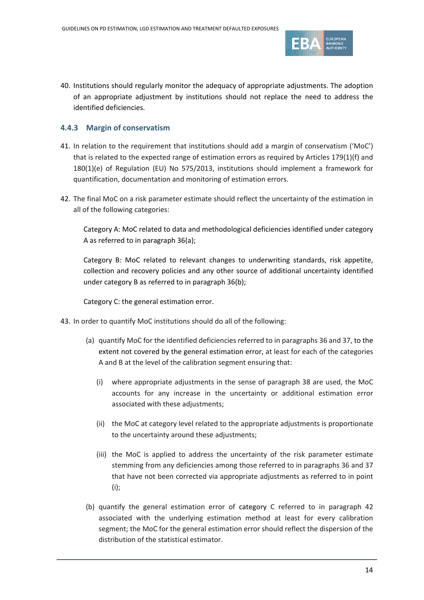

40. Institutions should regularly monitor the adequacy of appropriate adjustments. The adoption of an appropriate adjustment by institutions should not replace the need to address the identified deficiencies.

#### <span id="page-13-3"></span>**4.4.3 Margin of conservatism**

- 41. In relation to the requirement that institutions should add a margin of conservatism ('MoC') that is related to the expected range of estimation errors as required by Articles 179(1)(f) and 180(1)(e) of Regulation (EU) No 575/2013, institutions should implement a framework for quantification, documentation and monitoring of estimation errors.
- <span id="page-13-0"></span>42. The final MoC on a risk parameter estimate should reflect the uncertainty of the estimation in all of the following categories:

Category A: MoC related to data and methodological deficiencies identified under category A as referred to in paragraph [36\(a\);](#page-11-1)

Category B: MoC related to relevant changes to underwriting standards, risk appetite, collection and recovery policies and any other source of additional uncertainty identified under category B as referred to in paragraph [36\(b\);](#page-11-1)

Category C: the general estimation error.

- <span id="page-13-2"></span><span id="page-13-1"></span>43. In order to quantify MoC institutions should do all of the following:
	- (a) quantify MoC for the identified deficiencies referred to in paragraph[s 36](#page-11-1) and [37,](#page-11-2) to the extent not covered by the general estimation error, at least for each of the categories A and B at the level of the calibration segment ensuring that:
		- (i) where appropriate adjustments in the sense of paragraph [38](#page-12-0) are used, the MoC accounts for any increase in the uncertainty or additional estimation error associated with these adjustments;
		- (ii) the MoC at category level related to the appropriate adjustments is proportionate to the uncertainty around these adjustments;
		- (iii) the MoC is applied to address the uncertainty of the risk parameter estimate stemming from any deficiencies among those referred to in paragraphs [36](#page-11-1) and [37](#page-11-2) that have not been corrected via appropriate adjustments as referred to in point (i);
	- (b) quantify the general estimation error of category C referred to in paragraph [42](#page-13-0) associated with the underlying estimation method at least for every calibration segment; the MoC for the general estimation error should reflect the dispersion of the distribution of the statistical estimator.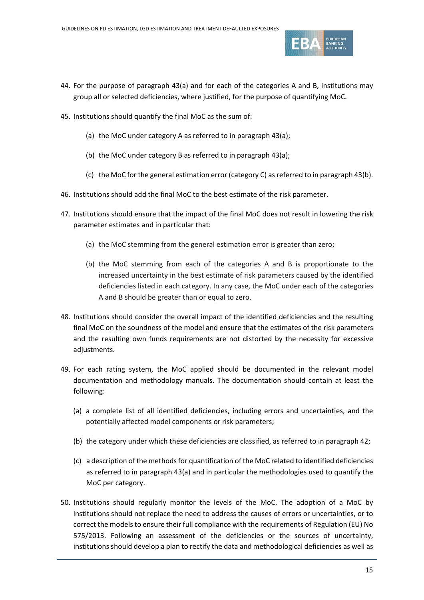

- 44. For the purpose of paragraph [43\(a\)](#page-13-1) and for each of the categories A and B, institutions may group all or selected deficiencies, where justified, for the purpose of quantifying MoC.
- 45. Institutions should quantify the final MoC as the sum of:
	- (a) the MoC under category A as referred to in paragraph [43\(a\);](#page-13-1)
	- (b) the MoC under category B as referred to in paragraph [43\(a\);](#page-13-1)
	- (c) the MoC for the general estimation error (category C) as referred to in paragraph [43\(b\).](#page-13-2)
- 46. Institutions should add the final MoC to the best estimate of the risk parameter.
- 47. Institutions should ensure that the impact of the final MoC does not result in lowering the risk parameter estimates and in particular that:
	- (a) the MoC stemming from the general estimation error is greater than zero;
	- (b) the MoC stemming from each of the categories A and B is proportionate to the increased uncertainty in the best estimate of risk parameters caused by the identified deficiencies listed in each category. In any case, the MoC under each of the categories A and B should be greater than or equal to zero.
- 48. Institutions should consider the overall impact of the identified deficiencies and the resulting final MoC on the soundness of the model and ensure that the estimates of the risk parameters and the resulting own funds requirements are not distorted by the necessity for excessive adiustments.
- 49. For each rating system, the MoC applied should be documented in the relevant model documentation and methodology manuals. The documentation should contain at least the following:
	- (a) a complete list of all identified deficiencies, including errors and uncertainties, and the potentially affected model components or risk parameters;
	- (b) the category under which these deficiencies are classified, as referred to in paragraph [42;](#page-13-0)
	- (c) a description of the methods for quantification of the MoC related to identified deficiencies as referred to in paragraph [43\(a\)](#page-13-1) and in particular the methodologies used to quantify the MoC per category.
- 50. Institutions should regularly monitor the levels of the MoC. The adoption of a MoC by institutions should not replace the need to address the causes of errors or uncertainties, or to correct the models to ensure their full compliance with the requirements of Regulation (EU) No 575/2013. Following an assessment of the deficiencies or the sources of uncertainty, institutions should develop a plan to rectify the data and methodological deficiencies as well as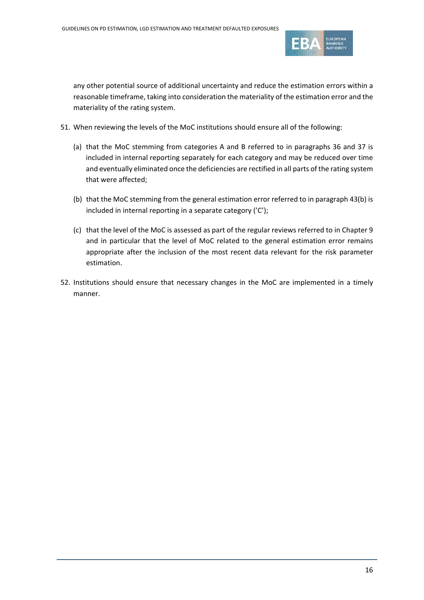

any other potential source of additional uncertainty and reduce the estimation errors within a reasonable timeframe, taking into consideration the materiality of the estimation error and the materiality of the rating system.

- <span id="page-15-0"></span>51. When reviewing the levels of the MoC institutions should ensure all of the following:
	- (a) that the MoC stemming from categories A and B referred to in paragraphs [36](#page-11-1) and [37](#page-11-2) is included in internal reporting separately for each category and may be reduced over time and eventually eliminated once the deficiencies are rectified in all parts of the rating system that were affected;
	- (b) that the MoC stemming from the general estimation error referred to in paragrap[h 43\(b\)](#page-13-2) is included in internal reporting in a separate category ('C');
	- (c) that the level of the MoC is assessed as part of the regular reviews referred to in Chapter 9 and in particular that the level of MoC related to the general estimation error remains appropriate after the inclusion of the most recent data relevant for the risk parameter estimation.
- 52. Institutions should ensure that necessary changes in the MoC are implemented in a timely manner.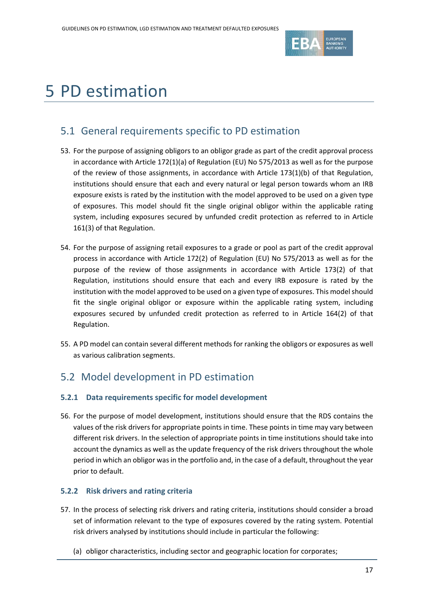

# 5 PD estimation

### 5.1 General requirements specific to PD estimation

- 53. For the purpose of assigning obligors to an obligor grade as part of the credit approval process in accordance with Article 172(1)(a) of Regulation (EU) No 575/2013 as well as for the purpose of the review of those assignments, in accordance with Article 173(1)(b) of that Regulation, institutions should ensure that each and every natural or legal person towards whom an IRB exposure exists is rated by the institution with the model approved to be used on a given type of exposures. This model should fit the single original obligor within the applicable rating system, including exposures secured by unfunded credit protection as referred to in Article 161(3) of that Regulation.
- 54. For the purpose of assigning retail exposures to a grade or pool as part of the credit approval process in accordance with Article 172(2) of Regulation (EU) No 575/2013 as well as for the purpose of the review of those assignments in accordance with Article 173(2) of that Regulation, institutions should ensure that each and every IRB exposure is rated by the institution with the model approved to be used on a given type of exposures. This model should fit the single original obligor or exposure within the applicable rating system, including exposures secured by unfunded credit protection as referred to in Article 164(2) of that Regulation.
- 55. A PD model can contain several different methods for ranking the obligors or exposures as well as various calibration segments.

### 5.2 Model development in PD estimation

#### **5.2.1 Data requirements specific for model development**

56. For the purpose of model development, institutions should ensure that the RDS contains the values of the risk drivers for appropriate points in time. These points in time may vary between different risk drivers. In the selection of appropriate points in time institutions should take into account the dynamics as well as the update frequency of the risk drivers throughout the whole period in which an obligor was in the portfolio and, in the case of a default, throughout the year prior to default.

#### <span id="page-16-0"></span>**5.2.2 Risk drivers and rating criteria**

- 57. In the process of selecting risk drivers and rating criteria, institutions should consider a broad set of information relevant to the type of exposures covered by the rating system. Potential risk drivers analysed by institutions should include in particular the following:
	- (a) obligor characteristics, including sector and geographic location for corporates;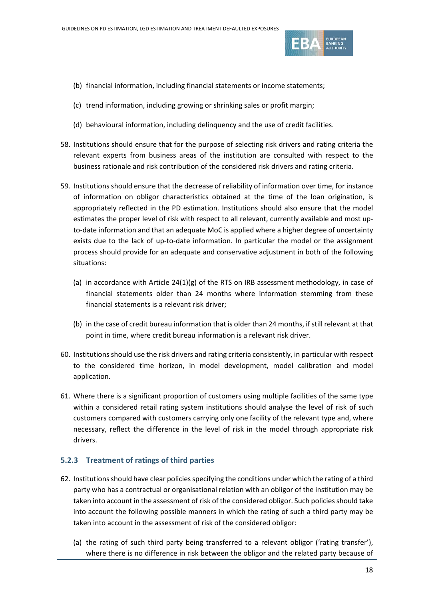

- (b) financial information, including financial statements or income statements;
- (c) trend information, including growing or shrinking sales or profit margin;
- (d) behavioural information, including delinquency and the use of credit facilities.
- 58. Institutions should ensure that for the purpose of selecting risk drivers and rating criteria the relevant experts from business areas of the institution are consulted with respect to the business rationale and risk contribution of the considered risk drivers and rating criteria.
- <span id="page-17-0"></span>59. Institutions should ensure that the decrease of reliability of information over time, for instance of information on obligor characteristics obtained at the time of the loan origination, is appropriately reflected in the PD estimation. Institutions should also ensure that the model estimates the proper level of risk with respect to all relevant, currently available and most upto-date information and that an adequate MoC is applied where a higher degree of uncertainty exists due to the lack of up-to-date information. In particular the model or the assignment process should provide for an adequate and conservative adjustment in both of the following situations:
	- (a) in accordance with Article 24(1)(g) of the RTS on IRB assessment methodology, in case of financial statements older than 24 months where information stemming from these financial statements is a relevant risk driver;
	- (b) in the case of credit bureau information that is older than 24 months, if still relevant at that point in time, where credit bureau information is a relevant risk driver.
- 60. Institutions should use the risk drivers and rating criteria consistently, in particular with respect to the considered time horizon, in model development, model calibration and model application.
- 61. Where there is a significant proportion of customers using multiple facilities of the same type within a considered retail rating system institutions should analyse the level of risk of such customers compared with customers carrying only one facility of the relevant type and, where necessary, reflect the difference in the level of risk in the model through appropriate risk drivers.

#### **5.2.3 Treatment of ratings of third parties**

- 62. Institutions should have clear policies specifying the conditions under which the rating of a third party who has a contractual or organisational relation with an obligor of the institution may be taken into account in the assessment of risk of the considered obligor. Such policies should take into account the following possible manners in which the rating of such a third party may be taken into account in the assessment of risk of the considered obligor:
	- (a) the rating of such third party being transferred to a relevant obligor ('rating transfer'), where there is no difference in risk between the obligor and the related party because of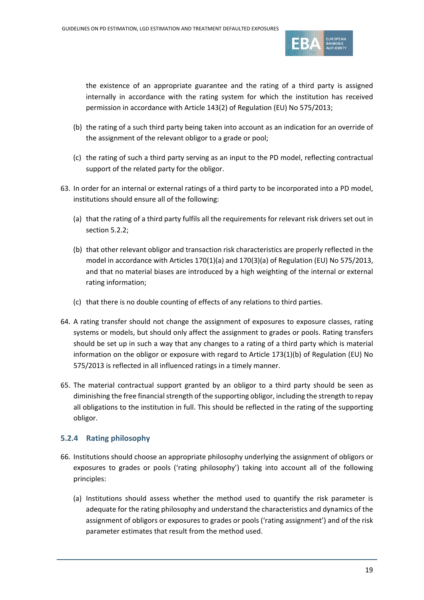

the existence of an appropriate guarantee and the rating of a third party is assigned internally in accordance with the rating system for which the institution has received permission in accordance with Article 143(2) of Regulation (EU) No 575/2013;

- (b) the rating of a such third party being taken into account as an indication for an override of the assignment of the relevant obligor to a grade or pool;
- (c) the rating of such a third party serving as an input to the PD model, reflecting contractual support of the related party for the obligor.
- 63. In order for an internal or external ratings of a third party to be incorporated into a PD model, institutions should ensure all of the following:
	- (a) that the rating of a third party fulfils all the requirements for relevant risk drivers set out in section [5.2.2;](#page-16-0)
	- (b) that other relevant obligor and transaction risk characteristics are properly reflected in the model in accordance with Articles 170(1)(a) and 170(3)(a) of Regulation (EU) No 575/2013, and that no material biases are introduced by a high weighting of the internal or external rating information;
	- (c) that there is no double counting of effects of any relations to third parties.
- 64. A rating transfer should not change the assignment of exposures to exposure classes, rating systems or models, but should only affect the assignment to grades or pools. Rating transfers should be set up in such a way that any changes to a rating of a third party which is material information on the obligor or exposure with regard to Article 173(1)(b) of Regulation (EU) No 575/2013 is reflected in all influenced ratings in a timely manner.
- 65. The material contractual support granted by an obligor to a third party should be seen as diminishing the free financial strength of the supporting obligor, including the strength to repay all obligations to the institution in full. This should be reflected in the rating of the supporting obligor.

#### **5.2.4 Rating philosophy**

- 66. Institutions should choose an appropriate philosophy underlying the assignment of obligors or exposures to grades or pools ('rating philosophy') taking into account all of the following principles:
	- (a) Institutions should assess whether the method used to quantify the risk parameter is adequate for the rating philosophy and understand the characteristics and dynamics of the assignment of obligors or exposures to grades or pools ('rating assignment') and of the risk parameter estimates that result from the method used.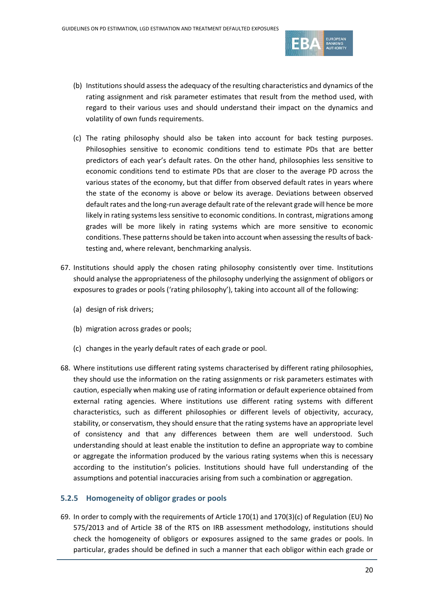

- (b) Institutions should assess the adequacy of the resulting characteristics and dynamics of the rating assignment and risk parameter estimates that result from the method used, with regard to their various uses and should understand their impact on the dynamics and volatility of own funds requirements.
- (c) The rating philosophy should also be taken into account for back testing purposes. Philosophies sensitive to economic conditions tend to estimate PDs that are better predictors of each year's default rates. On the other hand, philosophies less sensitive to economic conditions tend to estimate PDs that are closer to the average PD across the various states of the economy, but that differ from observed default rates in years where the state of the economy is above or below its average. Deviations between observed default rates and the long-run average default rate of the relevant grade will hence be more likely in rating systems less sensitive to economic conditions. In contrast, migrations among grades will be more likely in rating systems which are more sensitive to economic conditions. These patterns should be taken into account when assessing the results of backtesting and, where relevant, benchmarking analysis.
- 67. Institutions should apply the chosen rating philosophy consistently over time. Institutions should analyse the appropriateness of the philosophy underlying the assignment of obligors or exposures to grades or pools ('rating philosophy'), taking into account all of the following:
	- (a) design of risk drivers;
	- (b) migration across grades or pools;
	- (c) changes in the yearly default rates of each grade or pool.
- 68. Where institutions use different rating systems characterised by different rating philosophies, they should use the information on the rating assignments or risk parameters estimates with caution, especially when making use of rating information or default experience obtained from external rating agencies. Where institutions use different rating systems with different characteristics, such as different philosophies or different levels of objectivity, accuracy, stability, or conservatism, they should ensure that the rating systems have an appropriate level of consistency and that any differences between them are well understood. Such understanding should at least enable the institution to define an appropriate way to combine or aggregate the information produced by the various rating systems when this is necessary according to the institution's policies. Institutions should have full understanding of the assumptions and potential inaccuracies arising from such a combination or aggregation.

#### **5.2.5 Homogeneity of obligor grades or pools**

69. In order to comply with the requirements of Article 170(1) and 170(3)(c) of Regulation (EU) No 575/2013 and of Article 38 of the RTS on IRB assessment methodology, institutions should check the homogeneity of obligors or exposures assigned to the same grades or pools. In particular, grades should be defined in such a manner that each obligor within each grade or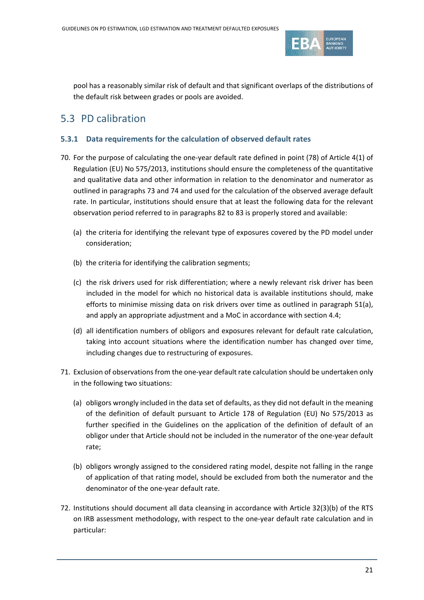

pool has a reasonably similar risk of default and that significant overlaps of the distributions of the default risk between grades or pools are avoided.

### 5.3 PD calibration

#### **5.3.1 Data requirements for the calculation of observed default rates**

- 70. For the purpose of calculating the one-year default rate defined in point (78) of Article 4(1) of Regulation (EU) No 575/2013, institutions should ensure the completeness of the quantitative and qualitative data and other information in relation to the denominator and numerator as outlined in paragraph[s 73](#page-21-0) and [74](#page-21-1) and used for the calculation of the observed average default rate. In particular, institutions should ensure that at least the following data for the relevant observation period referred to in paragraphs [82](#page-22-2) to [83](#page-23-1) is properly stored and available:
	- (a) the criteria for identifying the relevant type of exposures covered by the PD model under consideration;
	- (b) the criteria for identifying the calibration segments;
	- (c) the risk drivers used for risk differentiation; where a newly relevant risk driver has been included in the model for which no historical data is available institutions should, make efforts to minimise missing data on risk drivers over time as outlined in paragraph [51\(](#page-15-0)a), and apply an appropriate adjustment and a MoC in accordance with section [4.4;](#page-11-0)
	- (d) all identification numbers of obligors and exposures relevant for default rate calculation, taking into account situations where the identification number has changed over time, including changes due to restructuring of exposures.
- <span id="page-20-0"></span>71. Exclusion of observations from the one-year default rate calculation should be undertaken only in the following two situations:
	- (a) obligors wrongly included in the data set of defaults, as they did not default in the meaning of the definition of default pursuant to Article 178 of Regulation (EU) No 575/2013 as further specified in the Guidelines on the application of the definition of default of an obligor under that Article should not be included in the numerator of the one-year default rate;
	- (b) obligors wrongly assigned to the considered rating model, despite not falling in the range of application of that rating model, should be excluded from both the numerator and the denominator of the one-year default rate.
- 72. Institutions should document all data cleansing in accordance with Article 32(3)(b) of the RTS on IRB assessment methodology, with respect to the one-year default rate calculation and in particular: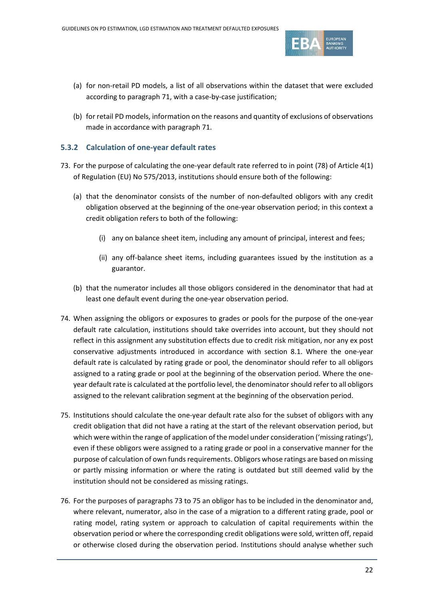

- (a) for non-retail PD models, a list of all observations within the dataset that were excluded according to paragraph [71,](#page-20-0) with a case-by-case justification;
- (b) for retail PD models, information on the reasons and quantity of exclusions of observations made in accordance with paragraph [71.](#page-20-0)

#### **5.3.2 Calculation of one-year default rates**

- <span id="page-21-0"></span>73. For the purpose of calculating the one-year default rate referred to in point (78) of Article 4(1) of Regulation (EU) No 575/2013, institutions should ensure both of the following:
	- (a) that the denominator consists of the number of non-defaulted obligors with any credit obligation observed at the beginning of the one-year observation period; in this context a credit obligation refers to both of the following:
		- (i) any on balance sheet item, including any amount of principal, interest and fees;
		- (ii) any off-balance sheet items, including guarantees issued by the institution as a guarantor.
	- (b) that the numerator includes all those obligors considered in the denominator that had at least one default event during the one-year observation period.
- <span id="page-21-1"></span>74. When assigning the obligors or exposures to grades or pools for the purpose of the one-year default rate calculation, institutions should take overrides into account, but they should not reflect in this assignment any substitution effects due to credit risk mitigation, nor any ex post conservative adjustments introduced in accordance with section [8.1.](#page-50-0) Where the one-year default rate is calculated by rating grade or pool, the denominator should refer to all obligors assigned to a rating grade or pool at the beginning of the observation period. Where the oneyear default rate is calculated at the portfolio level, the denominator should refer to all obligors assigned to the relevant calibration segment at the beginning of the observation period.
- <span id="page-21-2"></span>75. Institutions should calculate the one-year default rate also for the subset of obligors with any credit obligation that did not have a rating at the start of the relevant observation period, but which were within the range of application of the model under consideration ('missing ratings'), even if these obligors were assigned to a rating grade or pool in a conservative manner for the purpose of calculation of own funds requirements. Obligors whose ratings are based on missing or partly missing information or where the rating is outdated but still deemed valid by the institution should not be considered as missing ratings.
- <span id="page-21-3"></span>76. For the purposes of paragraphs [73](#page-21-0) t[o 75](#page-21-2) an obligor has to be included in the denominator and, where relevant, numerator, also in the case of a migration to a different rating grade, pool or rating model, rating system or approach to calculation of capital requirements within the observation period or where the corresponding credit obligations were sold, written off, repaid or otherwise closed during the observation period. Institutions should analyse whether such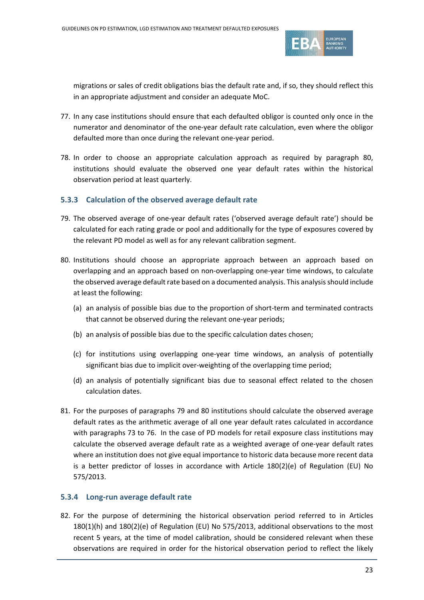

migrations or sales of credit obligations bias the default rate and, if so, they should reflect this in an appropriate adjustment and consider an adequate MoC.

- 77. In any case institutions should ensure that each defaulted obligor is counted only once in the numerator and denominator of the one-year default rate calculation, even where the obligor defaulted more than once during the relevant one-year period.
- 78. In order to choose an appropriate calculation approach as required by paragraph [80,](#page-22-1) institutions should evaluate the observed one year default rates within the historical observation period at least quarterly.

#### **5.3.3 Calculation of the observed average default rate**

- <span id="page-22-3"></span>79. The observed average of one-year default rates ('observed average default rate') should be calculated for each rating grade or pool and additionally for the type of exposures covered by the relevant PD model as well as for any relevant calibration segment.
- <span id="page-22-1"></span>80. Institutions should choose an appropriate approach between an approach based on overlapping and an approach based on non-overlapping one-year time windows, to calculate the observed average default rate based on a documented analysis. This analysis should include at least the following:
	- (a) an analysis of possible bias due to the proportion of short-term and terminated contracts that cannot be observed during the relevant one-year periods;
	- (b) an analysis of possible bias due to the specific calculation dates chosen;
	- (c) for institutions using overlapping one-year time windows, an analysis of potentially significant bias due to implicit over-weighting of the overlapping time period;
	- (d) an analysis of potentially significant bias due to seasonal effect related to the chosen calculation dates.
- 81. For the purposes of paragraphs [79](#page-22-3) and [80](#page-22-1) institutions should calculate the observed average default rates as the arithmetic average of all one year default rates calculated in accordance with paragraphs [73](#page-21-0) to [76.](#page-21-3) In the case of PD models for retail exposure class institutions may calculate the observed average default rate as a weighted average of one-year default rates where an institution does not give equal importance to historic data because more recent data is a better predictor of losses in accordance with Article 180(2)(e) of Regulation (EU) No 575/2013.

#### <span id="page-22-0"></span>**5.3.4 Long-run average default rate**

<span id="page-22-2"></span>82. For the purpose of determining the historical observation period referred to in Articles 180(1)(h) and 180(2)(e) of Regulation (EU) No 575/2013, additional observations to the most recent 5 years, at the time of model calibration, should be considered relevant when these observations are required in order for the historical observation period to reflect the likely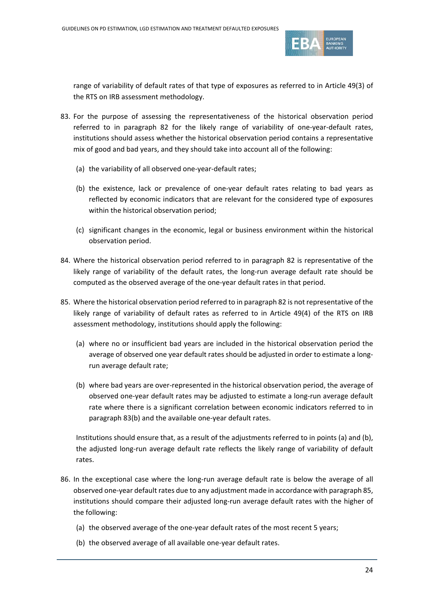

range of variability of default rates of that type of exposures as referred to in Article 49(3) of the RTS on IRB assessment methodology.

- <span id="page-23-1"></span>83. For the purpose of assessing the representativeness of the historical observation period referred to in paragraph [82](#page-22-2) for the likely range of variability of one-year-default rates, institutions should assess whether the historical observation period contains a representative mix of good and bad years, and they should take into account all of the following:
	- (a) the variability of all observed one-year-default rates;
	- (b) the existence, lack or prevalence of one-year default rates relating to bad years as reflected by economic indicators that are relevant for the considered type of exposures within the historical observation period;
	- (c) significant changes in the economic, legal or business environment within the historical observation period.
- 84. Where the historical observation period referred to in paragraph [82](#page-22-2) is representative of the likely range of variability of the default rates, the long-run average default rate should be computed as the observed average of the one-year default rates in that period.
- <span id="page-23-2"></span>85. Where the historical observation period referred to in paragraph [82](#page-22-2) is not representative of the likely range of variability of default rates as referred to in Article 49(4) of the RTS on IRB assessment methodology, institutions should apply the following:
	- (a) where no or insufficient bad years are included in the historical observation period the average of observed one year default rates should be adjusted in order to estimate a longrun average default rate;
	- (b) where bad years are over-represented in the historical observation period, the average of observed one-year default rates may be adjusted to estimate a long-run average default rate where there is a significant correlation between economic indicators referred to in paragraph [83\(b\)](#page-23-1) and the available one-year default rates.

Institutions should ensure that, as a result of the adjustments referred to in points (a) and (b), the adjusted long-run average default rate reflects the likely range of variability of default rates.

- <span id="page-23-0"></span>86. In the exceptional case where the long-run average default rate is below the average of all observed one-year default rates due to any adjustment made in accordance with paragrap[h 85,](#page-23-2) institutions should compare their adjusted long-run average default rates with the higher of the following:
	- (a) the observed average of the one-year default rates of the most recent 5 years;
	- (b) the observed average of all available one-year default rates.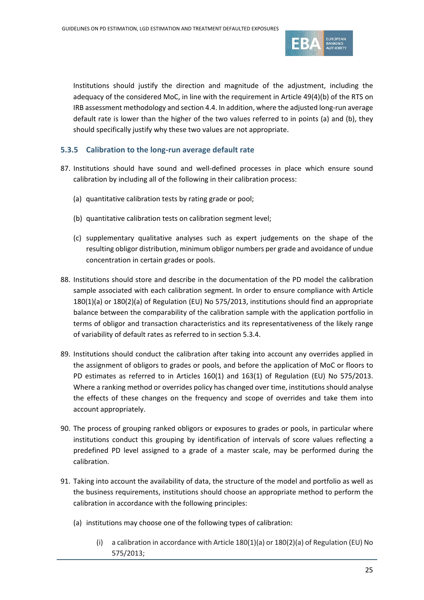

Institutions should justify the direction and magnitude of the adjustment, including the adequacy of the considered MoC, in line with the requirement in Article 49(4)(b) of the RTS on IRB assessment methodology and sectio[n 4.4.](#page-11-0) In addition, where the adjusted long-run average default rate is lower than the higher of the two values referred to in points (a) and (b), they should specifically justify why these two values are not appropriate.

#### **5.3.5 Calibration to the long-run average default rate**

- 87. Institutions should have sound and well-defined processes in place which ensure sound calibration by including all of the following in their calibration process:
	- (a) quantitative calibration tests by rating grade or pool;
	- (b) quantitative calibration tests on calibration segment level;
	- (c) supplementary qualitative analyses such as expert judgements on the shape of the resulting obligor distribution, minimum obligor numbers per grade and avoidance of undue concentration in certain grades or pools.
- 88. Institutions should store and describe in the documentation of the PD model the calibration sample associated with each calibration segment. In order to ensure compliance with Article 180(1)(a) or 180(2)(a) of Regulation (EU) No 575/2013, institutions should find an appropriate balance between the comparability of the calibration sample with the application portfolio in terms of obligor and transaction characteristics and its representativeness of the likely range of variability of default rates as referred to in section [5.3.4.](#page-22-0)
- 89. Institutions should conduct the calibration after taking into account any overrides applied in the assignment of obligors to grades or pools, and before the application of MoC or floors to PD estimates as referred to in Articles 160(1) and 163(1) of Regulation (EU) No 575/2013. Where a ranking method or overrides policy has changed over time, institutions should analyse the effects of these changes on the frequency and scope of overrides and take them into account appropriately.
- 90. The process of grouping ranked obligors or exposures to grades or pools, in particular where institutions conduct this grouping by identification of intervals of score values reflecting a predefined PD level assigned to a grade of a master scale, may be performed during the calibration.
- <span id="page-24-0"></span>91. Taking into account the availability of data, the structure of the model and portfolio as well as the business requirements, institutions should choose an appropriate method to perform the calibration in accordance with the following principles:
	- (a) institutions may choose one of the following types of calibration:
		- (i) a calibration in accordance with Article 180(1)(a) or 180(2)(a) of Regulation (EU) No 575/2013;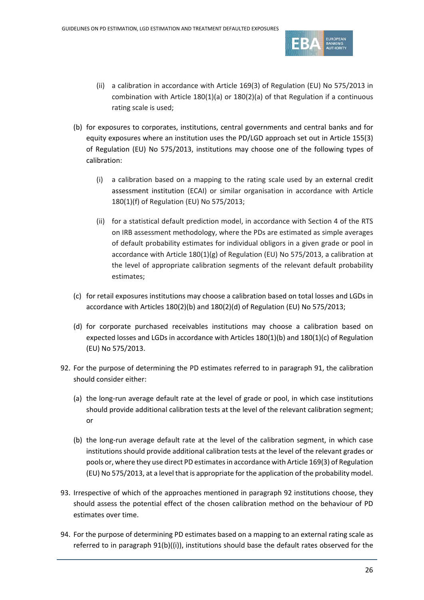

- (ii) a calibration in accordance with Article 169(3) of Regulation (EU) No 575/2013 in combination with Article 180(1)(a) or 180(2)(a) of that Regulation if a continuous rating scale is used;
- <span id="page-25-1"></span>(b) for exposures to corporates, institutions, central governments and central banks and for equity exposures where an institution uses the PD/LGD approach set out in Article 155(3) of Regulation (EU) No 575/2013, institutions may choose one of the following types of calibration:
	- (i) a calibration based on a mapping to the rating scale used by an external credit assessment institution (ECAI) or similar organisation in accordance with Article 180(1)(f) of Regulation (EU) No 575/2013;
	- (ii) for a statistical default prediction model, in accordance with Section 4 of the RTS on IRB assessment methodology, where the PDs are estimated as simple averages of default probability estimates for individual obligors in a given grade or pool in accordance with Article 180(1)(g) of Regulation (EU) No 575/2013, a calibration at the level of appropriate calibration segments of the relevant default probability estimates;
- (c) for retail exposures institutions may choose a calibration based on total losses and LGDs in accordance with Articles 180(2)(b) and 180(2)(d) of Regulation (EU) No 575/2013;
- (d) for corporate purchased receivables institutions may choose a calibration based on expected losses and LGDs in accordance with Articles 180(1)(b) and 180(1)(c) of Regulation (EU) No 575/2013.
- <span id="page-25-0"></span>92. For the purpose of determining the PD estimates referred to in paragraph [91,](#page-24-0) the calibration should consider either:
	- (a) the long-run average default rate at the level of grade or pool, in which case institutions should provide additional calibration tests at the level of the relevant calibration segment; or
	- (b) the long-run average default rate at the level of the calibration segment, in which case institutions should provide additional calibration tests at the level of the relevant grades or pools or, where they use direct PD estimates in accordance with Article 169(3) of Regulation (EU) No 575/2013, at a level that is appropriate for the application of the probability model.
- 93. Irrespective of which of the approaches mentioned in paragraph [92](#page-25-0) institutions choose, they should assess the potential effect of the chosen calibration method on the behaviour of PD estimates over time.
- 94. For the purpose of determining PD estimates based on a mapping to an external rating scale as referred to in paragraph [91\(b\)](#page-24-0)[\(\(i\)\)](#page-25-1), institutions should base the default rates observed for the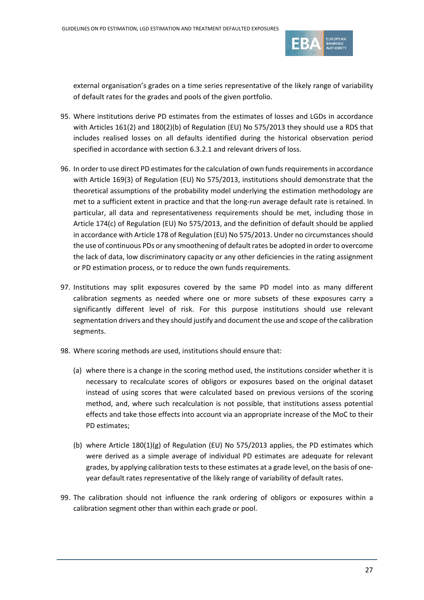

external organisation's grades on a time series representative of the likely range of variability of default rates for the grades and pools of the given portfolio.

- 95. Where institutions derive PD estimates from the estimates of losses and LGDs in accordance with Articles 161(2) and 180(2)(b) of Regulation (EU) No 575/2013 they should use a RDS that includes realised losses on all defaults identified during the historical observation period specified in accordance with section [6.3.2.1](#page-39-1) and relevant drivers of loss.
- 96. In order to use direct PD estimates for the calculation of own funds requirements in accordance with Article 169(3) of Regulation (EU) No 575/2013, institutions should demonstrate that the theoretical assumptions of the probability model underlying the estimation methodology are met to a sufficient extent in practice and that the long-run average default rate is retained. In particular, all data and representativeness requirements should be met, including those in Article 174(c) of Regulation (EU) No 575/2013, and the definition of default should be applied in accordance with Article 178 of Regulation (EU) No 575/2013. Under no circumstances should the use of continuous PDs or any smoothening of default rates be adopted in order to overcome the lack of data, low discriminatory capacity or any other deficiencies in the rating assignment or PD estimation process, or to reduce the own funds requirements.
- 97. Institutions may split exposures covered by the same PD model into as many different calibration segments as needed where one or more subsets of these exposures carry a significantly different level of risk. For this purpose institutions should use relevant segmentation drivers and they should justify and document the use and scope of the calibration segments.
- 98. Where scoring methods are used, institutions should ensure that:
	- (a) where there is a change in the scoring method used, the institutions consider whether it is necessary to recalculate scores of obligors or exposures based on the original dataset instead of using scores that were calculated based on previous versions of the scoring method, and, where such recalculation is not possible, that institutions assess potential effects and take those effects into account via an appropriate increase of the MoC to their PD estimates;
	- (b) where Article  $180(1)(g)$  of Regulation (EU) No 575/2013 applies, the PD estimates which were derived as a simple average of individual PD estimates are adequate for relevant grades, by applying calibration tests to these estimates at a grade level, on the basis of oneyear default rates representative of the likely range of variability of default rates.
- 99. The calibration should not influence the rank ordering of obligors or exposures within a calibration segment other than within each grade or pool.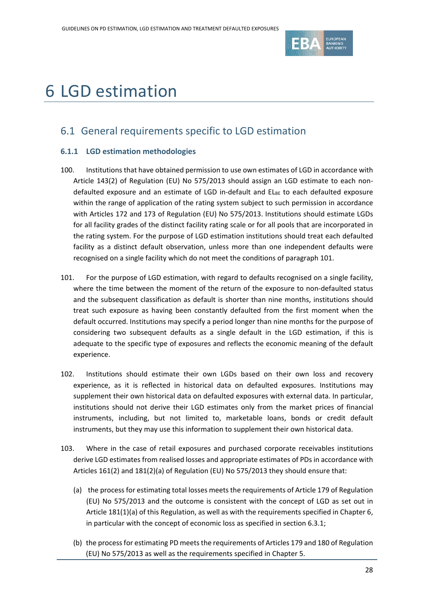

# 6 LGD estimation

## 6.1 General requirements specific to LGD estimation

#### **6.1.1 LGD estimation methodologies**

- 100. Institutions that have obtained permission to use own estimates of LGD in accordance with Article 143(2) of Regulation (EU) No 575/2013 should assign an LGD estimate to each nondefaulted exposure and an estimate of LGD in-default and  $EL_{BE}$  to each defaulted exposure within the range of application of the rating system subject to such permission in accordance with Articles 172 and 173 of Regulation (EU) No 575/2013. Institutions should estimate LGDs for all facility grades of the distinct facility rating scale or for all pools that are incorporated in the rating system. For the purpose of LGD estimation institutions should treat each defaulted facility as a distinct default observation, unless more than one independent defaults were recognised on a single facility which do not meet the conditions of paragraph [101.](#page-27-0)
- <span id="page-27-0"></span>101. For the purpose of LGD estimation, with regard to defaults recognised on a single facility, where the time between the moment of the return of the exposure to non-defaulted status and the subsequent classification as default is shorter than nine months, institutions should treat such exposure as having been constantly defaulted from the first moment when the default occurred. Institutions may specify a period longer than nine months for the purpose of considering two subsequent defaults as a single default in the LGD estimation, if this is adequate to the specific type of exposures and reflects the economic meaning of the default experience.
- 102. Institutions should estimate their own LGDs based on their own loss and recovery experience, as it is reflected in historical data on defaulted exposures. Institutions may supplement their own historical data on defaulted exposures with external data. In particular, institutions should not derive their LGD estimates only from the market prices of financial instruments, including, but not limited to, marketable loans, bonds or credit default instruments, but they may use this information to supplement their own historical data.
- 103. Where in the case of retail exposures and purchased corporate receivables institutions derive LGD estimates from realised losses and appropriate estimates of PDs in accordance with Articles 161(2) and 181(2)(a) of Regulation (EU) No 575/2013 they should ensure that:
	- (a) the process for estimating total losses meets the requirements of Article 179 of Regulation (EU) No 575/2013 and the outcome is consistent with the concept of LGD as set out in Article 181(1)(a) of this Regulation, as well as with the requirements specified in Chapter 6, in particular with the concept of economic loss as specified in section [6.3.1;](#page-36-0)
	- (b) the process for estimating PD meets the requirements of Articles 179 and 180 of Regulation (EU) No 575/2013 as well as the requirements specified in Chapter 5.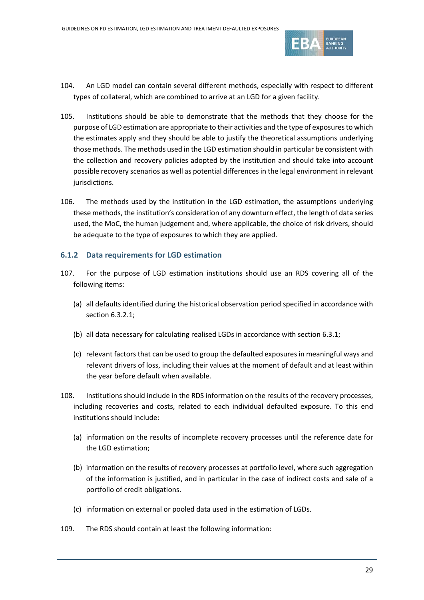

- 104. An LGD model can contain several different methods, especially with respect to different types of collateral, which are combined to arrive at an LGD for a given facility.
- 105. Institutions should be able to demonstrate that the methods that they choose for the purpose of LGD estimation are appropriate to their activities and the type of exposures to which the estimates apply and they should be able to justify the theoretical assumptions underlying those methods. The methods used in the LGD estimation should in particular be consistent with the collection and recovery policies adopted by the institution and should take into account possible recovery scenarios as well as potential differences in the legal environment in relevant jurisdictions.
- 106. The methods used by the institution in the LGD estimation, the assumptions underlying these methods, the institution's consideration of any downturn effect, the length of data series used, the MoC, the human judgement and, where applicable, the choice of risk drivers, should be adequate to the type of exposures to which they are applied.

#### <span id="page-28-0"></span>**6.1.2 Data requirements for LGD estimation**

- 107. For the purpose of LGD estimation institutions should use an RDS covering all of the following items:
	- (a) all defaults identified during the historical observation period specified in accordance with section [6.3.2.1;](#page-39-1)
	- (b) all data necessary for calculating realised LGDs in accordance with section [6.3.1;](#page-36-0)
	- (c) relevant factors that can be used to group the defaulted exposures in meaningful ways and relevant drivers of loss, including their values at the moment of default and at least within the year before default when available.
- 108. Institutions should include in the RDS information on the results of the recovery processes, including recoveries and costs, related to each individual defaulted exposure. To this end institutions should include:
	- (a) information on the results of incomplete recovery processes until the reference date for the LGD estimation;
	- (b) information on the results of recovery processes at portfolio level, where such aggregation of the information is justified, and in particular in the case of indirect costs and sale of a portfolio of credit obligations.
	- (c) information on external or pooled data used in the estimation of LGDs.
- 109. The RDS should contain at least the following information: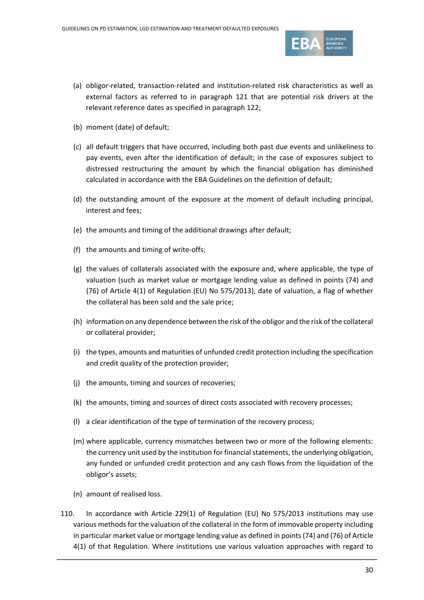

- (a) obligor-related, transaction-related and institution-related risk characteristics as well as external factors as referred to in paragraph [121](#page-33-0) that are potential risk drivers at the relevant reference dates as specified in paragraph [122;](#page-33-1)
- (b) moment (date) of default;
- (c) all default triggers that have occurred, including both past due events and unlikeliness to pay events, even after the identification of default; in the case of exposures subject to distressed restructuring the amount by which the financial obligation has diminished calculated in accordance with the EBA Guidelines on the definition of default;
- (d) the outstanding amount of the exposure at the moment of default including principal, interest and fees;
- (e) the amounts and timing of the additional drawings after default;
- (f) the amounts and timing of write-offs;
- (g) the values of collaterals associated with the exposure and, where applicable, the type of valuation (such as market value or mortgage lending value as defined in points (74) and (76) of Article 4(1) of Regulation (EU) No 575/2013), date of valuation, a flag of whether the collateral has been sold and the sale price;
- (h) information on any dependence between the risk of the obligor and the risk of the collateral or collateral provider;
- (i) the types, amounts and maturities of unfunded credit protection including the specification and credit quality of the protection provider;
- (j) the amounts, timing and sources of recoveries;
- (k) the amounts, timing and sources of direct costs associated with recovery processes;
- (l) a clear identification of the type of termination of the recovery process;
- (m) where applicable, currency mismatches between two or more of the following elements: the currency unit used by the institution for financial statements, the underlying obligation, any funded or unfunded credit protection and any cash flows from the liquidation of the obligor's assets;
- (n) amount of realised loss.
- 110. In accordance with Article 229(1) of Regulation (EU) No 575/2013 institutions may use various methods for the valuation of the collateral in the form of immovable property including in particular market value or mortgage lending value as defined in points (74) and (76) of Article 4(1) of that Regulation. Where institutions use various valuation approaches with regard to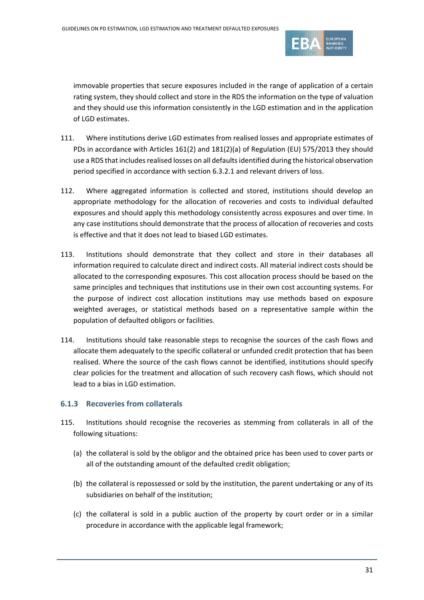

immovable properties that secure exposures included in the range of application of a certain rating system, they should collect and store in the RDS the information on the type of valuation and they should use this information consistently in the LGD estimation and in the application of LGD estimates.

- 111. Where institutions derive LGD estimates from realised losses and appropriate estimates of PDs in accordance with Articles 161(2) and 181(2)(a) of Regulation (EU) 575/2013 they should use a RDS that includes realised losses on all defaults identified during the historical observation period specified in accordance with sectio[n 6.3.2.1](#page-39-1) and relevant drivers of loss.
- 112. Where aggregated information is collected and stored, institutions should develop an appropriate methodology for the allocation of recoveries and costs to individual defaulted exposures and should apply this methodology consistently across exposures and over time. In any case institutions should demonstrate that the process of allocation of recoveries and costs is effective and that it does not lead to biased LGD estimates.
- 113. Institutions should demonstrate that they collect and store in their databases all information required to calculate direct and indirect costs. All material indirect costs should be allocated to the corresponding exposures. This cost allocation process should be based on the same principles and techniques that institutions use in their own cost accounting systems. For the purpose of indirect cost allocation institutions may use methods based on exposure weighted averages, or statistical methods based on a representative sample within the population of defaulted obligors or facilities.
- 114. Institutions should take reasonable steps to recognise the sources of the cash flows and allocate them adequately to the specific collateral or unfunded credit protection that has been realised. Where the source of the cash flows cannot be identified, institutions should specify clear policies for the treatment and allocation of such recovery cash flows, which should not lead to a bias in LGD estimation.

#### **6.1.3 Recoveries from collaterals**

- <span id="page-30-1"></span><span id="page-30-0"></span>115. Institutions should recognise the recoveries as stemming from collaterals in all of the following situations:
	- (a) the collateral is sold by the obligor and the obtained price has been used to cover parts or all of the outstanding amount of the defaulted credit obligation;
	- (b) the collateral is repossessed or sold by the institution, the parent undertaking or any of its subsidiaries on behalf of the institution;
	- (c) the collateral is sold in a public auction of the property by court order or in a similar procedure in accordance with the applicable legal framework;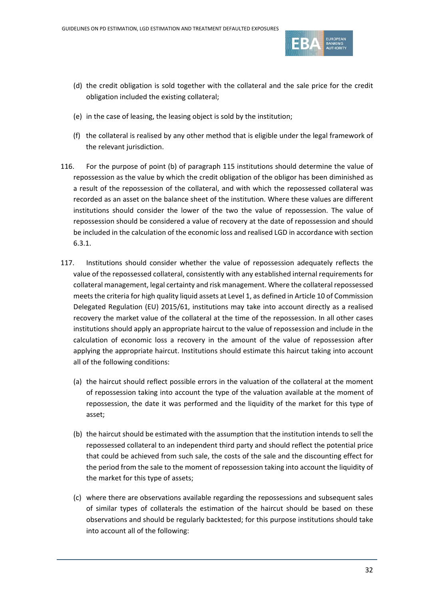

- <span id="page-31-0"></span>(d) the credit obligation is sold together with the collateral and the sale price for the credit obligation included the existing collateral;
- (e) in the case of leasing, the leasing object is sold by the institution;
- <span id="page-31-1"></span>(f) the collateral is realised by any other method that is eligible under the legal framework of the relevant jurisdiction.
- 116. For the purpose of point [\(b\)](#page-30-0) of paragraph [115](#page-30-1) institutions should determine the value of repossession as the value by which the credit obligation of the obligor has been diminished as a result of the repossession of the collateral, and with which the repossessed collateral was recorded as an asset on the balance sheet of the institution. Where these values are different institutions should consider the lower of the two the value of repossession. The value of repossession should be considered a value of recovery at the date of repossession and should be included in the calculation of the economic loss and realised LGD in accordance with section [6.3.1.](#page-36-0)
- 117. Institutions should consider whether the value of repossession adequately reflects the value of the repossessed collateral, consistently with any established internal requirements for collateral management, legal certainty and risk management. Where the collateral repossessed meets the criteria for high quality liquid assets at Level 1, as defined in Article 10 of Commission Delegated Regulation (EU) 2015/61, institutions may take into account directly as a realised recovery the market value of the collateral at the time of the repossession. In all other cases institutions should apply an appropriate haircut to the value of repossession and include in the calculation of economic loss a recovery in the amount of the value of repossession after applying the appropriate haircut. Institutions should estimate this haircut taking into account all of the following conditions:
	- (a) the haircut should reflect possible errors in the valuation of the collateral at the moment of repossession taking into account the type of the valuation available at the moment of repossession, the date it was performed and the liquidity of the market for this type of asset;
	- (b) the haircut should be estimated with the assumption that the institution intends to sell the repossessed collateral to an independent third party and should reflect the potential price that could be achieved from such sale, the costs of the sale and the discounting effect for the period from the sale to the moment of repossession taking into account the liquidity of the market for this type of assets;
	- (c) where there are observations available regarding the repossessions and subsequent sales of similar types of collaterals the estimation of the haircut should be based on these observations and should be regularly backtested; for this purpose institutions should take into account all of the following: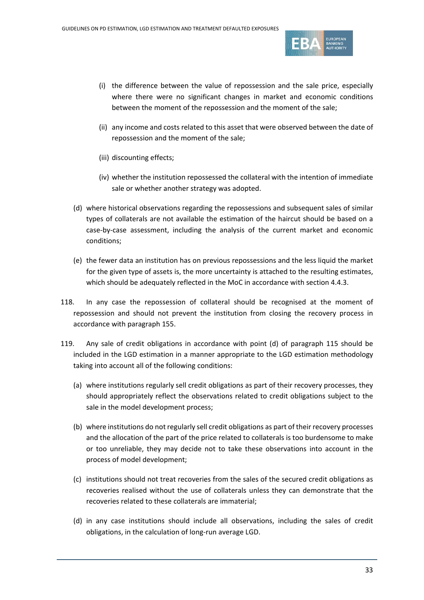

- (i) the difference between the value of repossession and the sale price, especially where there were no significant changes in market and economic conditions between the moment of the repossession and the moment of the sale;
- (ii) any income and costs related to this asset that were observed between the date of repossession and the moment of the sale;
- (iii) discounting effects;
- (iv) whether the institution repossessed the collateral with the intention of immediate sale or whether another strategy was adopted.
- (d) where historical observations regarding the repossessions and subsequent sales of similar types of collaterals are not available the estimation of the haircut should be based on a case-by-case assessment, including the analysis of the current market and economic conditions;
- (e) the fewer data an institution has on previous repossessions and the less liquid the market for the given type of assets is, the more uncertainty is attached to the resulting estimates, which should be adequately reflected in the MoC in accordance with section [4.4.3.](#page-13-3)
- 118. In any case the repossession of collateral should be recognised at the moment of repossession and should not prevent the institution from closing the recovery process in accordance with paragrap[h 155.](#page-41-0)
- 119. Any sale of credit obligations in accordance with point [\(d\)](#page-31-0) of paragraph [115](#page-30-1) should be included in the LGD estimation in a manner appropriate to the LGD estimation methodology taking into account all of the following conditions:
	- (a) where institutions regularly sell credit obligations as part of their recovery processes, they should appropriately reflect the observations related to credit obligations subject to the sale in the model development process;
	- (b) where institutions do not regularly sell credit obligations as part of their recovery processes and the allocation of the part of the price related to collaterals is too burdensome to make or too unreliable, they may decide not to take these observations into account in the process of model development;
	- (c) institutions should not treat recoveries from the sales of the secured credit obligations as recoveries realised without the use of collaterals unless they can demonstrate that the recoveries related to these collaterals are immaterial;
	- (d) in any case institutions should include all observations, including the sales of credit obligations, in the calculation of long-run average LGD.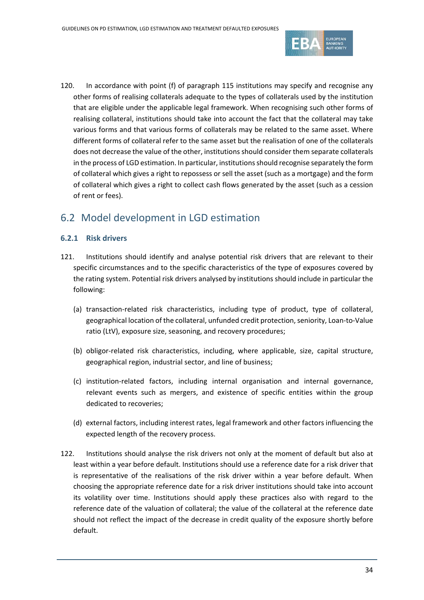

120. In accordance with point [\(f\)](#page-31-1) of paragraph [115](#page-30-1) institutions may specify and recognise any other forms of realising collaterals adequate to the types of collaterals used by the institution that are eligible under the applicable legal framework. When recognising such other forms of realising collateral, institutions should take into account the fact that the collateral may take various forms and that various forms of collaterals may be related to the same asset. Where different forms of collateral refer to the same asset but the realisation of one of the collaterals does not decrease the value of the other, institutions should consider them separate collaterals in the process of LGD estimation. In particular, institutions should recognise separately the form of collateral which gives a right to repossess or sell the asset (such as a mortgage) and the form of collateral which gives a right to collect cash flows generated by the asset (such as a cession of rent or fees).

## 6.2 Model development in LGD estimation

#### **6.2.1 Risk drivers**

- <span id="page-33-0"></span>121. Institutions should identify and analyse potential risk drivers that are relevant to their specific circumstances and to the specific characteristics of the type of exposures covered by the rating system. Potential risk drivers analysed by institutions should include in particular the following:
	- (a) transaction-related risk characteristics, including type of product, type of collateral, geographical location of the collateral, unfunded credit protection, seniority, Loan-to-Value ratio (LtV), exposure size, seasoning, and recovery procedures;
	- (b) obligor-related risk characteristics, including, where applicable, size, capital structure, geographical region, industrial sector, and line of business;
	- (c) institution-related factors, including internal organisation and internal governance, relevant events such as mergers, and existence of specific entities within the group dedicated to recoveries;
	- (d) external factors, including interest rates, legal framework and other factors influencing the expected length of the recovery process.
- <span id="page-33-1"></span>122. Institutions should analyse the risk drivers not only at the moment of default but also at least within a year before default. Institutions should use a reference date for a risk driver that is representative of the realisations of the risk driver within a year before default. When choosing the appropriate reference date for a risk driver institutions should take into account its volatility over time. Institutions should apply these practices also with regard to the reference date of the valuation of collateral; the value of the collateral at the reference date should not reflect the impact of the decrease in credit quality of the exposure shortly before default.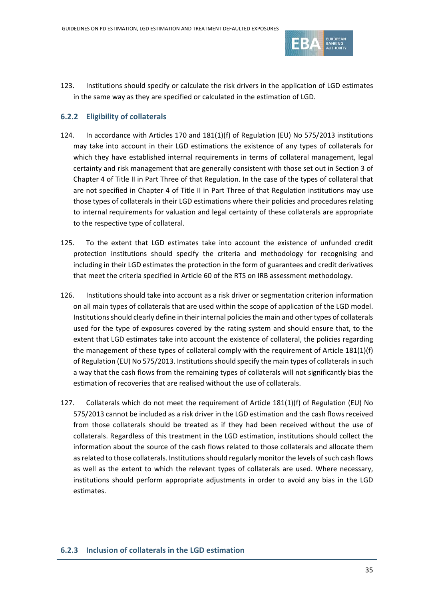

123. Institutions should specify or calculate the risk drivers in the application of LGD estimates in the same way as they are specified or calculated in the estimation of LGD.

#### **6.2.2 Eligibility of collaterals**

- 124. In accordance with Articles 170 and 181(1)(f) of Regulation (EU) No 575/2013 institutions may take into account in their LGD estimations the existence of any types of collaterals for which they have established internal requirements in terms of collateral management, legal certainty and risk management that are generally consistent with those set out in Section 3 of Chapter 4 of Title II in Part Three of that Regulation. In the case of the types of collateral that are not specified in Chapter 4 of Title II in Part Three of that Regulation institutions may use those types of collaterals in their LGD estimations where their policies and procedures relating to internal requirements for valuation and legal certainty of these collaterals are appropriate to the respective type of collateral.
- 125. To the extent that LGD estimates take into account the existence of unfunded credit protection institutions should specify the criteria and methodology for recognising and including in their LGD estimates the protection in the form of guarantees and credit derivatives that meet the criteria specified in Article 60 of the RTS on IRB assessment methodology.
- 126. Institutions should take into account as a risk driver or segmentation criterion information on all main types of collaterals that are used within the scope of application of the LGD model. Institutions should clearly define in their internal policies the main and other types of collaterals used for the type of exposures covered by the rating system and should ensure that, to the extent that LGD estimates take into account the existence of collateral, the policies regarding the management of these types of collateral comply with the requirement of Article 181(1)(f) of Regulation (EU) No 575/2013. Institutions should specify the main types of collaterals in such a way that the cash flows from the remaining types of collaterals will not significantly bias the estimation of recoveries that are realised without the use of collaterals.
- 127. Collaterals which do not meet the requirement of Article 181(1)(f) of Regulation (EU) No 575/2013 cannot be included as a risk driver in the LGD estimation and the cash flows received from those collaterals should be treated as if they had been received without the use of collaterals. Regardless of this treatment in the LGD estimation, institutions should collect the information about the source of the cash flows related to those collaterals and allocate them as related to those collaterals. Institutions should regularly monitor the levels of such cash flows as well as the extent to which the relevant types of collaterals are used. Where necessary, institutions should perform appropriate adjustments in order to avoid any bias in the LGD estimates.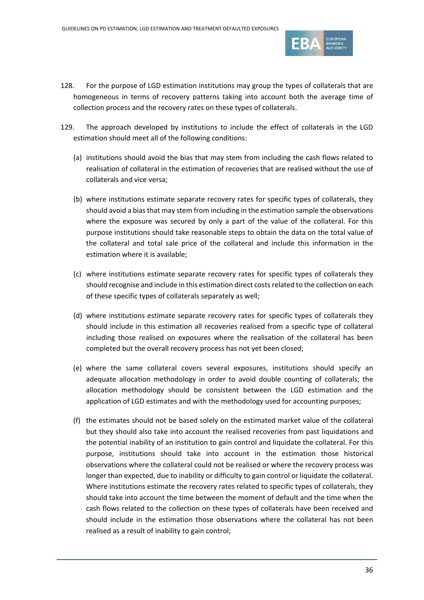

- 128. For the purpose of LGD estimation institutions may group the types of collaterals that are homogeneous in terms of recovery patterns taking into account both the average time of collection process and the recovery rates on these types of collaterals.
- 129. The approach developed by institutions to include the effect of collaterals in the LGD estimation should meet all of the following conditions:
	- (a) institutions should avoid the bias that may stem from including the cash flows related to realisation of collateral in the estimation of recoveries that are realised without the use of collaterals and vice versa;
	- (b) where institutions estimate separate recovery rates for specific types of collaterals, they should avoid a bias that may stem from including in the estimation sample the observations where the exposure was secured by only a part of the value of the collateral. For this purpose institutions should take reasonable steps to obtain the data on the total value of the collateral and total sale price of the collateral and include this information in the estimation where it is available;
	- (c) where institutions estimate separate recovery rates for specific types of collaterals they should recognise and include in this estimation direct costs related to the collection on each of these specific types of collaterals separately as well;
	- (d) where institutions estimate separate recovery rates for specific types of collaterals they should include in this estimation all recoveries realised from a specific type of collateral including those realised on exposures where the realisation of the collateral has been completed but the overall recovery process has not yet been closed;
	- (e) where the same collateral covers several exposures, institutions should specify an adequate allocation methodology in order to avoid double counting of collaterals; the allocation methodology should be consistent between the LGD estimation and the application of LGD estimates and with the methodology used for accounting purposes;
	- (f) the estimates should not be based solely on the estimated market value of the collateral but they should also take into account the realised recoveries from past liquidations and the potential inability of an institution to gain control and liquidate the collateral. For this purpose, institutions should take into account in the estimation those historical observations where the collateral could not be realised or where the recovery process was longer than expected, due to inability or difficulty to gain control or liquidate the collateral. Where institutions estimate the recovery rates related to specific types of collaterals, they should take into account the time between the moment of default and the time when the cash flows related to the collection on these types of collaterals have been received and should include in the estimation those observations where the collateral has not been realised as a result of inability to gain control;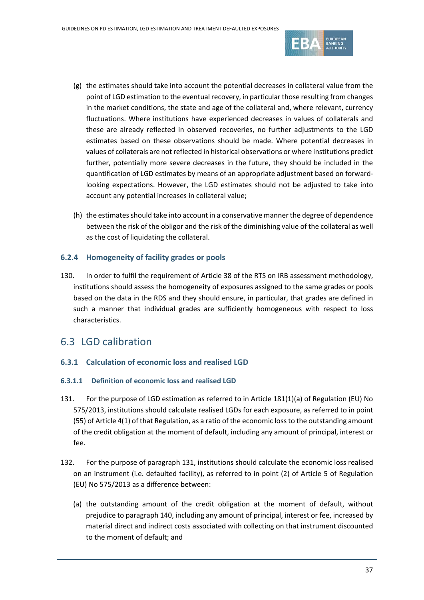

- (g) the estimates should take into account the potential decreases in collateral value from the point of LGD estimation to the eventual recovery, in particular those resulting from changes in the market conditions, the state and age of the collateral and, where relevant, currency fluctuations. Where institutions have experienced decreases in values of collaterals and these are already reflected in observed recoveries, no further adjustments to the LGD estimates based on these observations should be made. Where potential decreases in values of collaterals are not reflected in historical observations or where institutions predict further, potentially more severe decreases in the future, they should be included in the quantification of LGD estimates by means of an appropriate adjustment based on forwardlooking expectations. However, the LGD estimates should not be adjusted to take into account any potential increases in collateral value;
- (h) the estimates should take into account in a conservative manner the degree of dependence between the risk of the obligor and the risk of the diminishing value of the collateral as well as the cost of liquidating the collateral.

#### **6.2.4 Homogeneity of facility grades or pools**

130. In order to fulfil the requirement of Article 38 of the RTS on IRB assessment methodology, institutions should assess the homogeneity of exposures assigned to the same grades or pools based on the data in the RDS and they should ensure, in particular, that grades are defined in such a manner that individual grades are sufficiently homogeneous with respect to loss characteristics.

### 6.3 LGD calibration

#### <span id="page-36-0"></span>**6.3.1 Calculation of economic loss and realised LGD**

#### **6.3.1.1 Definition of economic loss and realised LGD**

- <span id="page-36-1"></span>131. For the purpose of LGD estimation as referred to in Article 181(1)(a) of Regulation (EU) No 575/2013, institutions should calculate realised LGDs for each exposure, as referred to in point (55) of Article 4(1) of that Regulation, as a ratio of the economic loss to the outstanding amount of the credit obligation at the moment of default, including any amount of principal, interest or fee.
- <span id="page-36-2"></span>132. For the purpose of paragrap[h 131,](#page-36-1) institutions should calculate the economic loss realised on an instrument (i.e. defaulted facility), as referred to in point (2) of Article 5 of Regulation (EU) No 575/2013 as a difference between:
	- (a) the outstanding amount of the credit obligation at the moment of default, without prejudice to paragraph [140,](#page-38-0) including any amount of principal, interest or fee, increased by material direct and indirect costs associated with collecting on that instrument discounted to the moment of default; and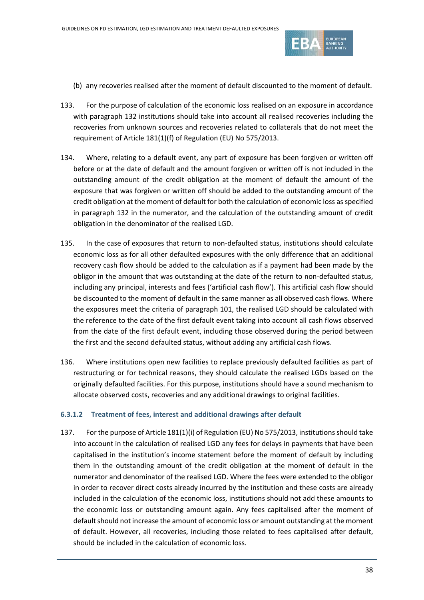

- (b) any recoveries realised after the moment of default discounted to the moment of default.
- 133. For the purpose of calculation of the economic loss realised on an exposure in accordance with paragraph [132](#page-36-2) institutions should take into account all realised recoveries including the recoveries from unknown sources and recoveries related to collaterals that do not meet the requirement of Article 181(1)(f) of Regulation (EU) No 575/2013.
- 134. Where, relating to a default event, any part of exposure has been forgiven or written off before or at the date of default and the amount forgiven or written off is not included in the outstanding amount of the credit obligation at the moment of default the amount of the exposure that was forgiven or written off should be added to the outstanding amount of the credit obligation at the moment of default for both the calculation of economic loss as specified in paragraph [132](#page-36-2) in the numerator, and the calculation of the outstanding amount of credit obligation in the denominator of the realised LGD.
- 135. In the case of exposures that return to non-defaulted status, institutions should calculate economic loss as for all other defaulted exposures with the only difference that an additional recovery cash flow should be added to the calculation as if a payment had been made by the obligor in the amount that was outstanding at the date of the return to non-defaulted status, including any principal, interests and fees ('artificial cash flow'). This artificial cash flow should be discounted to the moment of default in the same manner as all observed cash flows. Where the exposures meet the criteria of paragraph [101,](#page-27-0) the realised LGD should be calculated with the reference to the date of the first default event taking into account all cash flows observed from the date of the first default event, including those observed during the period between the first and the second defaulted status, without adding any artificial cash flows.
- 136. Where institutions open new facilities to replace previously defaulted facilities as part of restructuring or for technical reasons, they should calculate the realised LGDs based on the originally defaulted facilities. For this purpose, institutions should have a sound mechanism to allocate observed costs, recoveries and any additional drawings to original facilities.

#### **6.3.1.2 Treatment of fees, interest and additional drawings after default**

<span id="page-37-0"></span>137. For the purpose of Article 181(1)(i) of Regulation (EU) No 575/2013, institutions should take into account in the calculation of realised LGD any fees for delays in payments that have been capitalised in the institution's income statement before the moment of default by including them in the outstanding amount of the credit obligation at the moment of default in the numerator and denominator of the realised LGD. Where the fees were extended to the obligor in order to recover direct costs already incurred by the institution and these costs are already included in the calculation of the economic loss, institutions should not add these amounts to the economic loss or outstanding amount again. Any fees capitalised after the moment of default should not increase the amount of economic loss or amount outstanding at the moment of default. However, all recoveries, including those related to fees capitalised after default, should be included in the calculation of economic loss.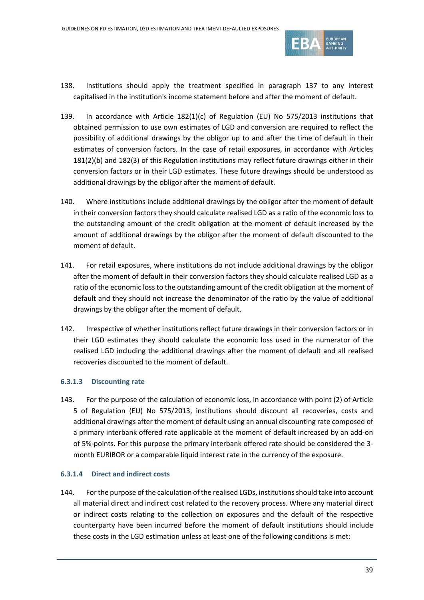

- 138. Institutions should apply the treatment specified in paragraph [137](#page-37-0) to any interest capitalised in the institution's income statement before and after the moment of default.
- 139. In accordance with Article 182(1)(c) of Regulation (EU) No 575/2013 institutions that obtained permission to use own estimates of LGD and conversion are required to reflect the possibility of additional drawings by the obligor up to and after the time of default in their estimates of conversion factors. In the case of retail exposures, in accordance with Articles 181(2)(b) and 182(3) of this Regulation institutions may reflect future drawings either in their conversion factors or in their LGD estimates. These future drawings should be understood as additional drawings by the obligor after the moment of default.
- <span id="page-38-0"></span>140. Where institutions include additional drawings by the obligor after the moment of default in their conversion factors they should calculate realised LGD as a ratio of the economic loss to the outstanding amount of the credit obligation at the moment of default increased by the amount of additional drawings by the obligor after the moment of default discounted to the moment of default.
- 141. For retail exposures, where institutions do not include additional drawings by the obligor after the moment of default in their conversion factors they should calculate realised LGD as a ratio of the economic loss to the outstanding amount of the credit obligation at the moment of default and they should not increase the denominator of the ratio by the value of additional drawings by the obligor after the moment of default.
- 142. Irrespective of whether institutions reflect future drawings in their conversion factors or in their LGD estimates they should calculate the economic loss used in the numerator of the realised LGD including the additional drawings after the moment of default and all realised recoveries discounted to the moment of default.

#### **6.3.1.3 Discounting rate**

143. For the purpose of the calculation of economic loss, in accordance with point (2) of Article 5 of Regulation (EU) No 575/2013, institutions should discount all recoveries, costs and additional drawings after the moment of default using an annual discounting rate composed of a primary interbank offered rate applicable at the moment of default increased by an add-on of 5%-points. For this purpose the primary interbank offered rate should be considered the 3 month EURIBOR or a comparable liquid interest rate in the currency of the exposure.

#### **6.3.1.4 Direct and indirect costs**

144. For the purpose of the calculation of the realised LGDs, institutions should take into account all material direct and indirect cost related to the recovery process. Where any material direct or indirect costs relating to the collection on exposures and the default of the respective counterparty have been incurred before the moment of default institutions should include these costs in the LGD estimation unless at least one of the following conditions is met: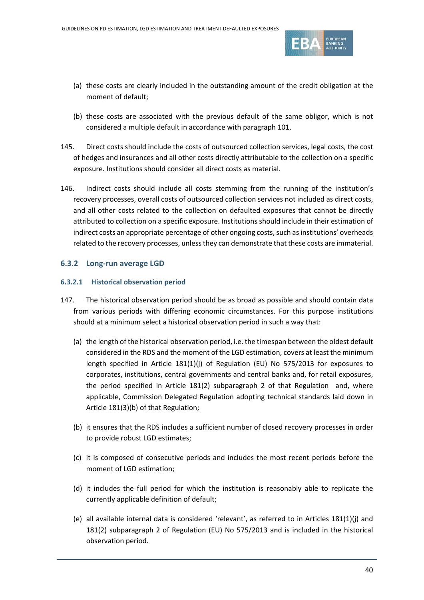

- (a) these costs are clearly included in the outstanding amount of the credit obligation at the moment of default;
- (b) these costs are associated with the previous default of the same obligor, which is not considered a multiple default in accordance with paragraph [101.](#page-27-0)
- 145. Direct costs should include the costs of outsourced collection services, legal costs, the cost of hedges and insurances and all other costs directly attributable to the collection on a specific exposure. Institutions should consider all direct costs as material.
- 146. Indirect costs should include all costs stemming from the running of the institution's recovery processes, overall costs of outsourced collection services not included as direct costs, and all other costs related to the collection on defaulted exposures that cannot be directly attributed to collection on a specific exposure. Institutions should include in their estimation of indirect costs an appropriate percentage of other ongoing costs, such as institutions' overheads related to the recovery processes, unless they can demonstrate that these costs are immaterial.

#### <span id="page-39-0"></span>**6.3.2 Long-run average LGD**

#### <span id="page-39-1"></span>**6.3.2.1 Historical observation period**

- <span id="page-39-2"></span>147. The historical observation period should be as broad as possible and should contain data from various periods with differing economic circumstances. For this purpose institutions should at a minimum select a historical observation period in such a way that:
	- (a) the length of the historical observation period, i.e. the timespan between the oldest default considered in the RDS and the moment of the LGD estimation, covers at least the minimum length specified in Article 181(1)(j) of Regulation (EU) No 575/2013 for exposures to corporates, institutions, central governments and central banks and, for retail exposures, the period specified in Article 181(2) subparagraph 2 of that Regulation and, where applicable, Commission Delegated Regulation adopting technical standards laid down in Article 181(3)(b) of that Regulation;
	- (b) it ensures that the RDS includes a sufficient number of closed recovery processes in order to provide robust LGD estimates;
	- (c) it is composed of consecutive periods and includes the most recent periods before the moment of LGD estimation;
	- (d) it includes the full period for which the institution is reasonably able to replicate the currently applicable definition of default;
	- (e) all available internal data is considered 'relevant', as referred to in Articles 181(1)(j) and 181(2) subparagraph 2 of Regulation (EU) No 575/2013 and is included in the historical observation period.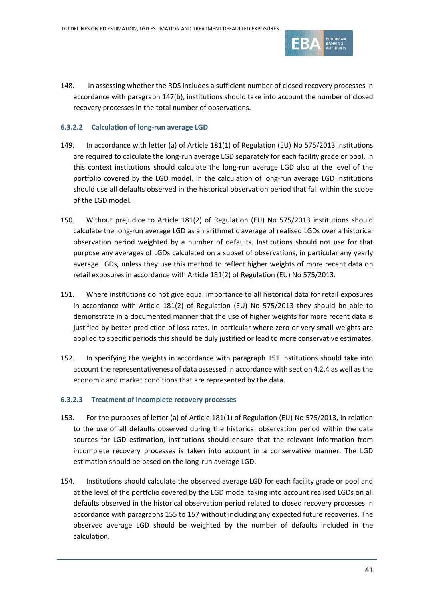

148. In assessing whether the RDS includes a sufficient number of closed recovery processes in accordance with paragraph [147\(b\),](#page-39-2) institutions should take into account the number of closed recovery processes in the total number of observations.

#### **6.3.2.2 Calculation of long-run average LGD**

- 149. In accordance with letter (a) of Article 181(1) of Regulation (EU) No 575/2013 institutions are required to calculate the long-run average LGD separately for each facility grade or pool. In this context institutions should calculate the long-run average LGD also at the level of the portfolio covered by the LGD model. In the calculation of long-run average LGD institutions should use all defaults observed in the historical observation period that fall within the scope of the LGD model.
- 150. Without prejudice to Article 181(2) of Regulation (EU) No 575/2013 institutions should calculate the long-run average LGD as an arithmetic average of realised LGDs over a historical observation period weighted by a number of defaults. Institutions should not use for that purpose any averages of LGDs calculated on a subset of observations, in particular any yearly average LGDs, unless they use this method to reflect higher weights of more recent data on retail exposures in accordance with Article 181(2) of Regulation (EU) No 575/2013.
- <span id="page-40-0"></span>151. Where institutions do not give equal importance to all historical data for retail exposures in accordance with Article 181(2) of Regulation (EU) No 575/2013 they should be able to demonstrate in a documented manner that the use of higher weights for more recent data is justified by better prediction of loss rates. In particular where zero or very small weights are applied to specific periods this should be duly justified or lead to more conservative estimates.
- 152. In specifying the weights in accordance with paragraph [151](#page-40-0) institutions should take into account the representativeness of data assessed in accordance with sectio[n 4.2.4](#page-9-1) as well as the economic and market conditions that are represented by the data.

#### <span id="page-40-1"></span>**6.3.2.3 Treatment of incomplete recovery processes**

- 153. For the purposes of letter (a) of Article 181(1) of Regulation (EU) No 575/2013, in relation to the use of all defaults observed during the historical observation period within the data sources for LGD estimation, institutions should ensure that the relevant information from incomplete recovery processes is taken into account in a conservative manner. The LGD estimation should be based on the long-run average LGD.
- 154. Institutions should calculate the observed average LGD for each facility grade or pool and at the level of the portfolio covered by the LGD model taking into account realised LGDs on all defaults observed in the historical observation period related to closed recovery processes in accordance with paragraphs [155](#page-41-0) to [157](#page-41-1) without including any expected future recoveries. The observed average LGD should be weighted by the number of defaults included in the calculation.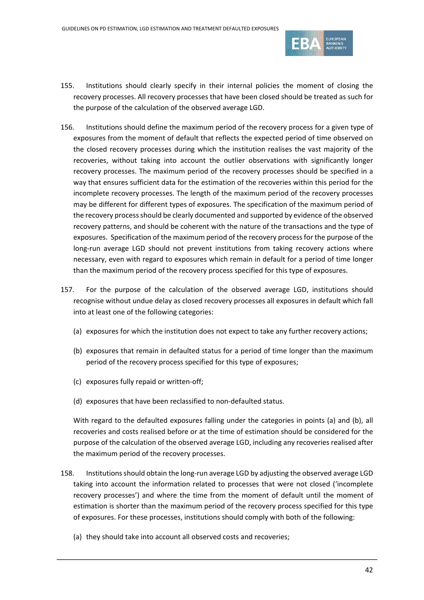

- <span id="page-41-0"></span>155. Institutions should clearly specify in their internal policies the moment of closing the recovery processes. All recovery processes that have been closed should be treated as such for the purpose of the calculation of the observed average LGD.
- 156. Institutions should define the maximum period of the recovery process for a given type of exposures from the moment of default that reflects the expected period of time observed on the closed recovery processes during which the institution realises the vast majority of the recoveries, without taking into account the outlier observations with significantly longer recovery processes. The maximum period of the recovery processes should be specified in a way that ensures sufficient data for the estimation of the recoveries within this period for the incomplete recovery processes. The length of the maximum period of the recovery processes may be different for different types of exposures. The specification of the maximum period of the recovery process should be clearly documented and supported by evidence of the observed recovery patterns, and should be coherent with the nature of the transactions and the type of exposures. Specification of the maximum period of the recovery process for the purpose of the long-run average LGD should not prevent institutions from taking recovery actions where necessary, even with regard to exposures which remain in default for a period of time longer than the maximum period of the recovery process specified for this type of exposures.
- <span id="page-41-1"></span>157. For the purpose of the calculation of the observed average LGD, institutions should recognise without undue delay as closed recovery processes all exposures in default which fall into at least one of the following categories:
	- (a) exposures for which the institution does not expect to take any further recovery actions;
	- (b) exposures that remain in defaulted status for a period of time longer than the maximum period of the recovery process specified for this type of exposures;
	- (c) exposures fully repaid or written-off;
	- (d) exposures that have been reclassified to non-defaulted status.

<span id="page-41-2"></span>With regard to the defaulted exposures falling under the categories in points (a) and (b), all recoveries and costs realised before or at the time of estimation should be considered for the purpose of the calculation of the observed average LGD, including any recoveries realised after the maximum period of the recovery processes.

- 158. Institutions should obtain the long-run average LGD by adjusting the observed average LGD taking into account the information related to processes that were not closed ('incomplete recovery processes') and where the time from the moment of default until the moment of estimation is shorter than the maximum period of the recovery process specified for this type of exposures. For these processes, institutions should comply with both of the following:
	- (a) they should take into account all observed costs and recoveries;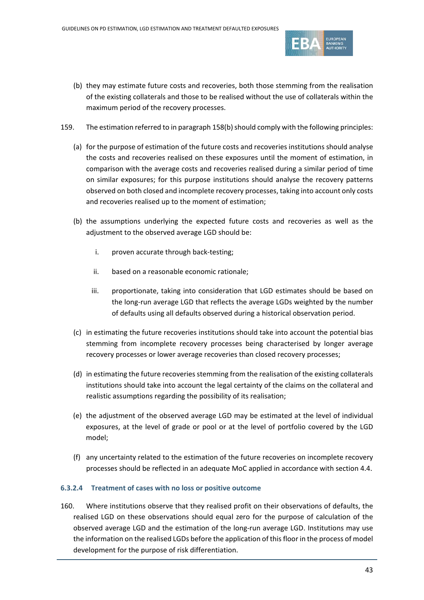

- (b) they may estimate future costs and recoveries, both those stemming from the realisation of the existing collaterals and those to be realised without the use of collaterals within the maximum period of the recovery processes.
- <span id="page-42-0"></span>159. The estimation referred to in paragraph 158(b) should comply with the following principles:
	- (a) for the purpose of estimation of the future costs and recoveries institutions should analyse the costs and recoveries realised on these exposures until the moment of estimation, in comparison with the average costs and recoveries realised during a similar period of time on similar exposures; for this purpose institutions should analyse the recovery patterns observed on both closed and incomplete recovery processes, taking into account only costs and recoveries realised up to the moment of estimation;
	- (b) the assumptions underlying the expected future costs and recoveries as well as the adjustment to the observed average LGD should be:
		- i. proven accurate through back-testing;
		- ii. based on a reasonable economic rationale;
		- iii. proportionate, taking into consideration that LGD estimates should be based on the long-run average LGD that reflects the average LGDs weighted by the number of defaults using all defaults observed during a historical observation period.
	- (c) in estimating the future recoveries institutions should take into account the potential bias stemming from incomplete recovery processes being characterised by longer average recovery processes or lower average recoveries than closed recovery processes;
	- (d) in estimating the future recoveries stemming from the realisation of the existing collaterals institutions should take into account the legal certainty of the claims on the collateral and realistic assumptions regarding the possibility of its realisation;
	- (e) the adjustment of the observed average LGD may be estimated at the level of individual exposures, at the level of grade or pool or at the level of portfolio covered by the LGD model;
	- (f) any uncertainty related to the estimation of the future recoveries on incomplete recovery processes should be reflected in an adequate MoC applied in accordance with section [4.4.](#page-11-0)

#### **6.3.2.4 Treatment of cases with no loss or positive outcome**

160. Where institutions observe that they realised profit on their observations of defaults, the realised LGD on these observations should equal zero for the purpose of calculation of the observed average LGD and the estimation of the long-run average LGD. Institutions may use the information on the realised LGDs before the application of this floor in the process of model development for the purpose of risk differentiation.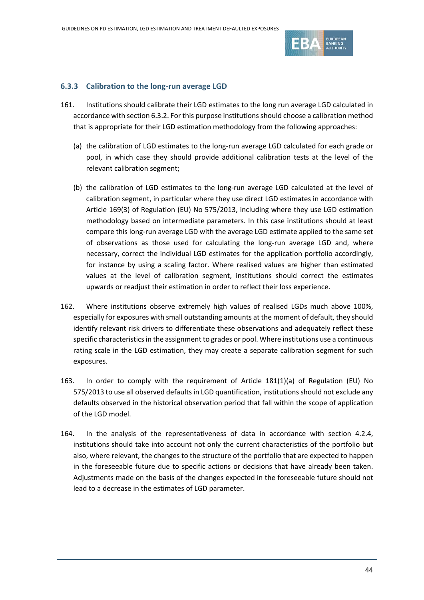

#### **6.3.3 Calibration to the long-run average LGD**

- 161. Institutions should calibrate their LGD estimates to the long run average LGD calculated in accordance with sectio[n 6.3.2.](#page-39-0) For this purpose institutions should choose a calibration method that is appropriate for their LGD estimation methodology from the following approaches:
	- (a) the calibration of LGD estimates to the long-run average LGD calculated for each grade or pool, in which case they should provide additional calibration tests at the level of the relevant calibration segment;
	- (b) the calibration of LGD estimates to the long-run average LGD calculated at the level of calibration segment, in particular where they use direct LGD estimates in accordance with Article 169(3) of Regulation (EU) No 575/2013, including where they use LGD estimation methodology based on intermediate parameters. In this case institutions should at least compare this long-run average LGD with the average LGD estimate applied to the same set of observations as those used for calculating the long-run average LGD and, where necessary, correct the individual LGD estimates for the application portfolio accordingly, for instance by using a scaling factor. Where realised values are higher than estimated values at the level of calibration segment, institutions should correct the estimates upwards or readjust their estimation in order to reflect their loss experience.
- 162. Where institutions observe extremely high values of realised LGDs much above 100%, especially for exposures with small outstanding amounts at the moment of default, they should identify relevant risk drivers to differentiate these observations and adequately reflect these specific characteristics in the assignment to grades or pool. Where institutions use a continuous rating scale in the LGD estimation, they may create a separate calibration segment for such exposures.
- 163. In order to comply with the requirement of Article 181(1)(a) of Regulation (EU) No 575/2013 to use all observed defaults in LGD quantification, institutions should not exclude any defaults observed in the historical observation period that fall within the scope of application of the LGD model.
- 164. In the analysis of the representativeness of data in accordance with section [4.2.4,](#page-9-1) institutions should take into account not only the current characteristics of the portfolio but also, where relevant, the changes to the structure of the portfolio that are expected to happen in the foreseeable future due to specific actions or decisions that have already been taken. Adjustments made on the basis of the changes expected in the foreseeable future should not lead to a decrease in the estimates of LGD parameter.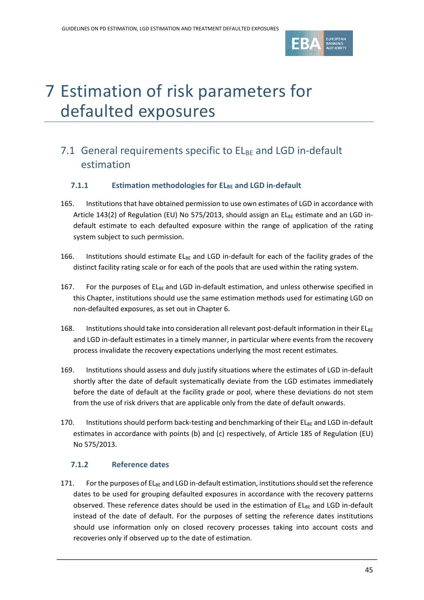

# 7 Estimation of risk parameters for defaulted exposures

## 7.1 General requirements specific to  $EL_{BE}$  and LGD in-default estimation

#### **7.1.1 Estimation methodologies for ELBE and LGD in-default**

- 165. Institutions that have obtained permission to use own estimates of LGD in accordance with Article 143(2) of Regulation (EU) No 575/2013, should assign an  $EL_{BF}$  estimate and an LGD indefault estimate to each defaulted exposure within the range of application of the rating system subject to such permission.
- 166. Institutions should estimate  $EL_{BE}$  and LGD in-default for each of the facility grades of the distinct facility rating scale or for each of the pools that are used within the rating system.
- 167. For the purposes of  $E_{\text{BE}}$  and LGD in-default estimation, and unless otherwise specified in this Chapter, institutions should use the same estimation methods used for estimating LGD on non-defaulted exposures, as set out in Chapter 6.
- 168. Institutions should take into consideration all relevant post-default information in their  $EL_{BE}$ and LGD in-default estimates in a timely manner, in particular where events from the recovery process invalidate the recovery expectations underlying the most recent estimates.
- 169. Institutions should assess and duly justify situations where the estimates of LGD in-default shortly after the date of default systematically deviate from the LGD estimates immediately before the date of default at the facility grade or pool, where these deviations do not stem from the use of risk drivers that are applicable only from the date of default onwards.
- 170. Institutions should perform back-testing and benchmarking of their  $E_{\text{B}E}$  and LGD in-default estimates in accordance with points (b) and (c) respectively, of Article 185 of Regulation (EU) No 575/2013.

#### **7.1.2 Reference dates**

<span id="page-44-0"></span>171. For the purposes of  $EL_{BE}$  and LGD in-default estimation, institutions should set the reference dates to be used for grouping defaulted exposures in accordance with the recovery patterns observed. These reference dates should be used in the estimation of  $E_{\text{BE}}$  and LGD in-default instead of the date of default. For the purposes of setting the reference dates institutions should use information only on closed recovery processes taking into account costs and recoveries only if observed up to the date of estimation.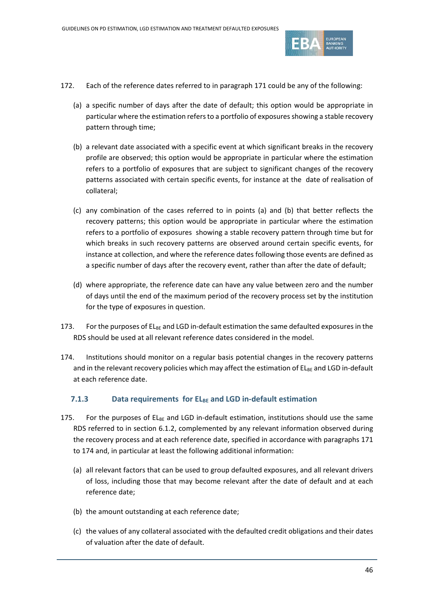

- 172. Each of the reference dates referred to in paragraph [171](#page-44-0) could be any of the following:
	- (a) a specific number of days after the date of default; this option would be appropriate in particular where the estimation refers to a portfolio of exposures showing a stable recovery pattern through time;
	- (b) a relevant date associated with a specific event at which significant breaks in the recovery profile are observed; this option would be appropriate in particular where the estimation refers to a portfolio of exposures that are subject to significant changes of the recovery patterns associated with certain specific events, for instance at the date of realisation of collateral;
	- (c) any combination of the cases referred to in points (a) and (b) that better reflects the recovery patterns; this option would be appropriate in particular where the estimation refers to a portfolio of exposures showing a stable recovery pattern through time but for which breaks in such recovery patterns are observed around certain specific events, for instance at collection, and where the reference dates following those events are defined as a specific number of days after the recovery event, rather than after the date of default;
	- (d) where appropriate, the reference date can have any value between zero and the number of days until the end of the maximum period of the recovery process set by the institution for the type of exposures in question.
- 173. For the purposes of  $EL_{BE}$  and LGD in-default estimation the same defaulted exposures in the RDS should be used at all relevant reference dates considered in the model.
- <span id="page-45-0"></span>174. Institutions should monitor on a regular basis potential changes in the recovery patterns and in the relevant recovery policies which may affect the estimation of ELBE and LGD in-default at each reference date.

#### **7.1.3 Data requirements for EL<sub>BE</sub> and LGD in-default estimation**

- 175. For the purposes of  $EL_{BE}$  and LGD in-default estimation, institutions should use the same RDS referred to in section [6.1.2,](#page-28-0) complemented by any relevant information observed during the recovery process and at each reference date, specified in accordance with paragraphs [171](#page-44-0) to [174](#page-45-0) and, in particular at least the following additional information:
	- (a) all relevant factors that can be used to group defaulted exposures, and all relevant drivers of loss, including those that may become relevant after the date of default and at each reference date;
	- (b) the amount outstanding at each reference date;
	- (c) the values of any collateral associated with the defaulted credit obligations and their dates of valuation after the date of default.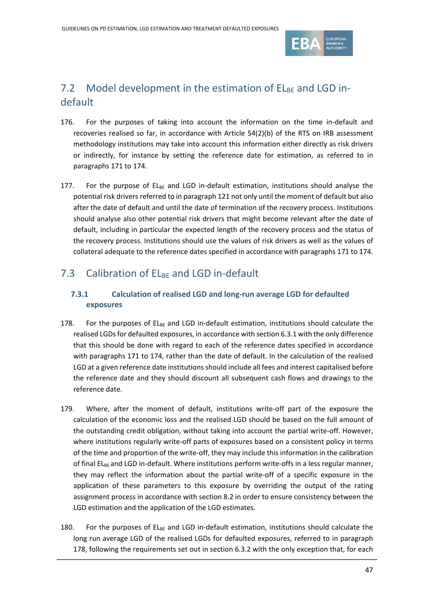

## 7.2 Model development in the estimation of  $EL_{BE}$  and LGD indefault

- 176. For the purposes of taking into account the information on the time in-default and recoveries realised so far, in accordance with Article 54(2)(b) of the RTS on IRB assessment methodology institutions may take into account this information either directly as risk drivers or indirectly, for instance by setting the reference date for estimation, as referred to in paragraphs [171](#page-44-0) to [174.](#page-45-0)
- 177. For the purpose of  $EL_{BE}$  and LGD in-default estimation, institutions should analyse the potential risk drivers referred to in paragraph [121](#page-33-0) not only until the moment of default but also after the date of default and until the date of termination of the recovery process. Institutions should analyse also other potential risk drivers that might become relevant after the date of default, including in particular the expected length of the recovery process and the status of the recovery process. Institutions should use the values of risk drivers as well as the values of collateral adequate to the reference dates specified in accordance with paragraphs [171](#page-44-0) t[o 174.](#page-45-0)

## 7.3 Calibration of  $E_{BE}$  and LGD in-default

#### **7.3.1 Calculation of realised LGD and long-run average LGD for defaulted exposures**

- <span id="page-46-0"></span>178. For the purposes of  $E_{\text{BE}}$  and LGD in-default estimation, institutions should calculate the realised LGDs for defaulted exposures, in accordance with sectio[n 6.3.1](#page-36-0) with the only difference that this should be done with regard to each of the reference dates specified in accordance with paragraphs [171](#page-44-0) to [174,](#page-45-0) rather than the date of default. In the calculation of the realised LGD at a given reference date institutions should include all fees and interest capitalised before the reference date and they should discount all subsequent cash flows and drawings to the reference date.
- 179. Where, after the moment of default, institutions write-off part of the exposure the calculation of the economic loss and the realised LGD should be based on the full amount of the outstanding credit obligation, without taking into account the partial write-off. However, where institutions regularly write-off parts of exposures based on a consistent policy in terms of the time and proportion of the write-off, they may include this information in the calibration of final  $EL_{BE}$  and LGD in-default. Where institutions perform write-offs in a less regular manner, they may reflect the information about the partial write-off of a specific exposure in the application of these parameters to this exposure by overriding the output of the rating assignment process in accordance with section [8.2](#page-51-0) in order to ensure consistency between the LGD estimation and the application of the LGD estimates.
- <span id="page-46-1"></span>180. For the purposes of  $E_{\text{BF}}$  and LGD in-default estimation, institutions should calculate the long run average LGD of the realised LGDs for defaulted exposures, referred to in paragraph [178,](#page-46-0) following the requirements set out in section [6.3.2](#page-39-0) with the only exception that, for each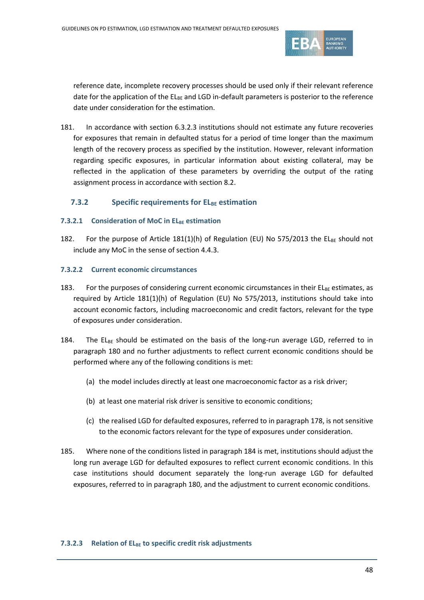

reference date, incomplete recovery processes should be used only if their relevant reference date for the application of the  $EL_{BE}$  and LGD in-default parameters is posterior to the reference date under consideration for the estimation.

181. In accordance with section [6.3.2.3](#page-40-1) institutions should not estimate any future recoveries for exposures that remain in defaulted status for a period of time longer than the maximum length of the recovery process as specified by the institution. However, relevant information regarding specific exposures, in particular information about existing collateral, may be reflected in the application of these parameters by overriding the output of the rating assignment process in accordance with sectio[n 8.2.](#page-51-0)

#### **7.3.2 Specific requirements for ELBE estimation**

#### **7.3.2.1** Consideration of MoC in ELBE estimation

182. For the purpose of Article 181(1)(h) of Regulation (EU) No 575/2013 the ELBE should not include any MoC in the sense of sectio[n 4.4.3.](#page-13-3)

#### **7.3.2.2 Current economic circumstances**

- 183. For the purposes of considering current economic circumstances in their  $EL_{BE}$  estimates, as required by Article 181(1)(h) of Regulation (EU) No 575/2013, institutions should take into account economic factors, including macroeconomic and credit factors, relevant for the type of exposures under consideration.
- <span id="page-47-0"></span>184. The  $EL_{BE}$  should be estimated on the basis of the long-run average LGD, referred to in paragraph [180](#page-46-1) and no further adjustments to reflect current economic conditions should be performed where any of the following conditions is met:
	- (a) the model includes directly at least one macroeconomic factor as a risk driver;
	- (b) at least one material risk driver is sensitive to economic conditions;
	- (c) the realised LGD for defaulted exposures, referred to in paragraph [178,](#page-46-0) is not sensitive to the economic factors relevant for the type of exposures under consideration.
- 185. Where none of the conditions listed in paragrap[h 184](#page-47-0) is met, institutions should adjust the long run average LGD for defaulted exposures to reflect current economic conditions. In this case institutions should document separately the long-run average LGD for defaulted exposures, referred to in paragrap[h 180,](#page-46-1) and the adjustment to current economic conditions.

#### **7.3.2.3 Relation of ELBE to specific credit risk adjustments**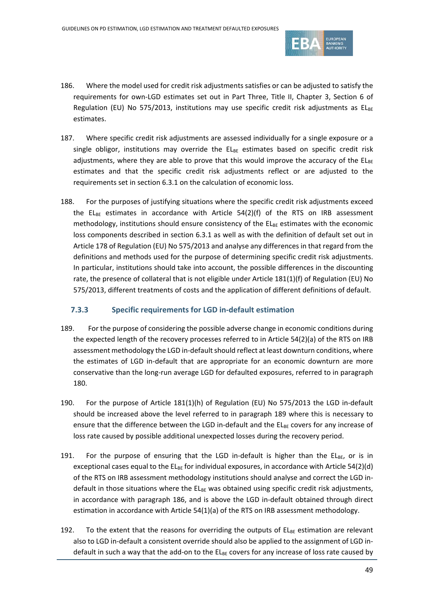

- <span id="page-48-1"></span>186. Where the model used for credit risk adjustments satisfies or can be adjusted to satisfy the requirements for own-LGD estimates set out in Part Three, Title II, Chapter 3, Section 6 of Regulation (EU) No 575/2013, institutions may use specific credit risk adjustments as  $EL_{BE}$ estimates.
- 187. Where specific credit risk adjustments are assessed individually for a single exposure or a single obligor, institutions may override the  $EL_{BE}$  estimates based on specific credit risk adjustments, where they are able to prove that this would improve the accuracy of the  $EL_{BE}$ estimates and that the specific credit risk adjustments reflect or are adjusted to the requirements set in sectio[n 6.3.1](#page-36-0) on the calculation of economic loss.
- 188. For the purposes of justifying situations where the specific credit risk adjustments exceed the EL<sub>BE</sub> estimates in accordance with Article 54(2)(f) of the RTS on IRB assessment methodology, institutions should ensure consistency of the  $EL_{BE}$  estimates with the economic loss components described in section [6.3.1](#page-36-0) as well as with the definition of default set out in Article 178 of Regulation (EU) No 575/2013 and analyse any differences in that regard from the definitions and methods used for the purpose of determining specific credit risk adjustments. In particular, institutions should take into account, the possible differences in the discounting rate, the presence of collateral that is not eligible under Article 181(1)(f) of Regulation (EU) No 575/2013, different treatments of costs and the application of different definitions of default.

#### <span id="page-48-0"></span>**7.3.3 Specific requirements for LGD in-default estimation**

- 189. For the purpose of considering the possible adverse change in economic conditions during the expected length of the recovery processes referred to in Article 54(2)(a) of the RTS on IRB assessment methodology the LGD in-default should reflect at least downturn conditions, where the estimates of LGD in-default that are appropriate for an economic downturn are more conservative than the long-run average LGD for defaulted exposures, referred to in paragraph [180.](#page-46-1)
- <span id="page-48-2"></span>190. For the purpose of Article 181(1)(h) of Regulation (EU) No 575/2013 the LGD in-default should be increased above the level referred to in paragraph [189](#page-48-0) where this is necessary to ensure that the difference between the LGD in-default and the  $EL_{BE}$  covers for any increase of loss rate caused by possible additional unexpected losses during the recovery period.
- 191. For the purpose of ensuring that the LGD in-default is higher than the  $EL_{BE}$ , or is in exceptional cases equal to the  $EL_{BE}$  for individual exposures, in accordance with Article 54(2)(d) of the RTS on IRB assessment methodology institutions should analyse and correct the LGD indefault in those situations where the  $E_{\text{BE}}$  was obtained using specific credit risk adjustments, in accordance with paragraph [186,](#page-48-1) and is above the LGD in-default obtained through direct estimation in accordance with Article 54(1)(a) of the RTS on IRB assessment methodology.
- 192. To the extent that the reasons for overriding the outputs of  $E_{BE}$  estimation are relevant also to LGD in-default a consistent override should also be applied to the assignment of LGD indefault in such a way that the add-on to the ELBE covers for any increase of loss rate caused by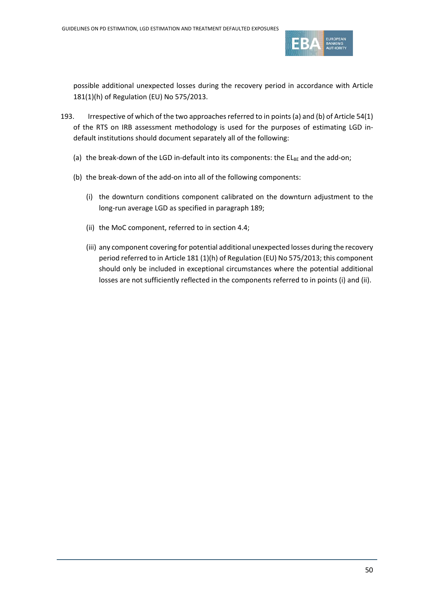

possible additional unexpected losses during the recovery period in accordance with Article 181(1)(h) of Regulation (EU) No 575/2013.

- 193. Irrespective of which of the two approaches referred to in points(a) and (b) of Article 54(1) of the RTS on IRB assessment methodology is used for the purposes of estimating LGD indefault institutions should document separately all of the following:
	- (a) the break-down of the LGD in-default into its components: the  $EL_{BE}$  and the add-on;
	- (b) the break-down of the add-on into all of the following components:
		- (i) the downturn conditions component calibrated on the downturn adjustment to the long-run average LGD as specified in paragraph [189;](#page-48-2)
		- (ii) the MoC component, referred to in sectio[n 4.4;](#page-11-0)
		- (iii) any component covering for potential additional unexpected losses during the recovery period referred to in Article 181 (1)(h) of Regulation (EU) No 575/2013; this component should only be included in exceptional circumstances where the potential additional losses are not sufficiently reflected in the components referred to in points (i) and (ii).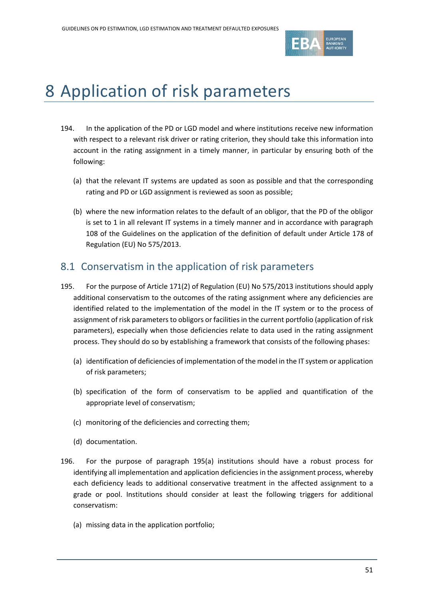

# 8 Application of risk parameters

- 194. In the application of the PD or LGD model and where institutions receive new information with respect to a relevant risk driver or rating criterion, they should take this information into account in the rating assignment in a timely manner, in particular by ensuring both of the following:
	- (a) that the relevant IT systems are updated as soon as possible and that the corresponding rating and PD or LGD assignment is reviewed as soon as possible;
	- (b) where the new information relates to the default of an obligor, that the PD of the obligor is set to 1 in all relevant IT systems in a timely manner and in accordance with paragraph 108 of the Guidelines on the application of the definition of default under Article 178 of Regulation (EU) No 575/2013.

### <span id="page-50-0"></span>8.1 Conservatism in the application of risk parameters

- <span id="page-50-1"></span>195. For the purpose of Article 171(2) of Regulation (EU) No 575/2013 institutions should apply additional conservatism to the outcomes of the rating assignment where any deficiencies are identified related to the implementation of the model in the IT system or to the process of assignment of risk parameters to obligors or facilities in the current portfolio (application of risk parameters), especially when those deficiencies relate to data used in the rating assignment process. They should do so by establishing a framework that consists of the following phases:
	- (a) identification of deficiencies of implementation of the model in the IT system or application of risk parameters;
	- (b) specification of the form of conservatism to be applied and quantification of the appropriate level of conservatism;
	- (c) monitoring of the deficiencies and correcting them;
	- (d) documentation.
- <span id="page-50-2"></span>196. For the purpose of paragraph [195\(a\)](#page-50-1) institutions should have a robust process for identifying all implementation and application deficiencies in the assignment process, whereby each deficiency leads to additional conservative treatment in the affected assignment to a grade or pool. Institutions should consider at least the following triggers for additional conservatism:
	- (a) missing data in the application portfolio;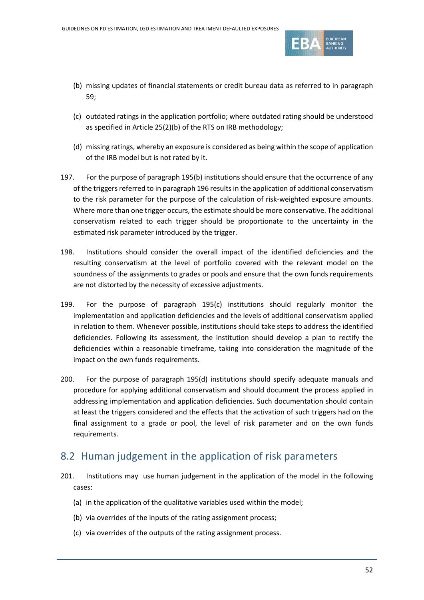

- (b) missing updates of financial statements or credit bureau data as referred to in paragraph [59;](#page-17-0)
- (c) outdated ratings in the application portfolio; where outdated rating should be understood as specified in Article 25(2)(b) of the RTS on IRB methodology;
- (d) missing ratings, whereby an exposure is considered as being within the scope of application of the IRB model but is not rated by it.
- 197. For the purpose of paragraph [195\(b\)](#page-50-1) institutions should ensure that the occurrence of any of the triggers referred to in paragrap[h 196](#page-50-2) results in the application of additional conservatism to the risk parameter for the purpose of the calculation of risk-weighted exposure amounts. Where more than one trigger occurs, the estimate should be more conservative. The additional conservatism related to each trigger should be proportionate to the uncertainty in the estimated risk parameter introduced by the trigger.
- 198. Institutions should consider the overall impact of the identified deficiencies and the resulting conservatism at the level of portfolio covered with the relevant model on the soundness of the assignments to grades or pools and ensure that the own funds requirements are not distorted by the necessity of excessive adjustments.
- 199. For the purpose of paragraph [195\(c\)](#page-50-1) institutions should regularly monitor the implementation and application deficiencies and the levels of additional conservatism applied in relation to them. Whenever possible, institutions should take steps to address the identified deficiencies. Following its assessment, the institution should develop a plan to rectify the deficiencies within a reasonable timeframe, taking into consideration the magnitude of the impact on the own funds requirements.
- 200. For the purpose of paragraph [195\(d\)](#page-50-1) institutions should specify adequate manuals and procedure for applying additional conservatism and should document the process applied in addressing implementation and application deficiencies. Such documentation should contain at least the triggers considered and the effects that the activation of such triggers had on the final assignment to a grade or pool, the level of risk parameter and on the own funds requirements.

### <span id="page-51-0"></span>8.2 Human judgement in the application of risk parameters

- 201. Institutions may use human judgement in the application of the model in the following cases:
	- (a) in the application of the qualitative variables used within the model;
	- (b) via overrides of the inputs of the rating assignment process;
	- (c) via overrides of the outputs of the rating assignment process.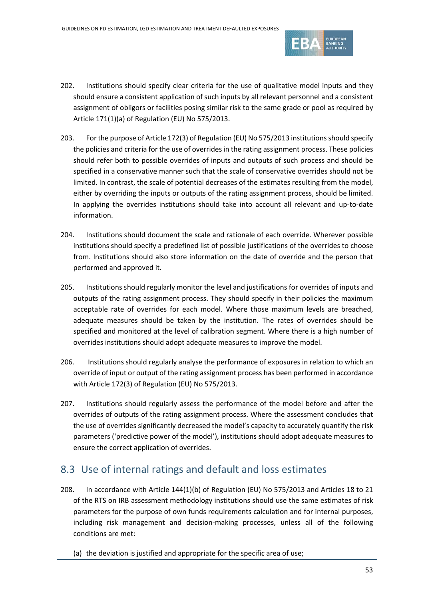

- 202. Institutions should specify clear criteria for the use of qualitative model inputs and they should ensure a consistent application of such inputs by all relevant personnel and a consistent assignment of obligors or facilities posing similar risk to the same grade or pool as required by Article 171(1)(a) of Regulation (EU) No 575/2013.
- 203. For the purpose of Article 172(3) of Regulation (EU) No 575/2013 institutions should specify the policies and criteria for the use of overrides in the rating assignment process. These policies should refer both to possible overrides of inputs and outputs of such process and should be specified in a conservative manner such that the scale of conservative overrides should not be limited. In contrast, the scale of potential decreases of the estimates resulting from the model, either by overriding the inputs or outputs of the rating assignment process, should be limited. In applying the overrides institutions should take into account all relevant and up-to-date information.
- 204. Institutions should document the scale and rationale of each override. Wherever possible institutions should specify a predefined list of possible justifications of the overrides to choose from. Institutions should also store information on the date of override and the person that performed and approved it.
- 205. Institutions should regularly monitor the level and justifications for overrides of inputs and outputs of the rating assignment process. They should specify in their policies the maximum acceptable rate of overrides for each model. Where those maximum levels are breached, adequate measures should be taken by the institution. The rates of overrides should be specified and monitored at the level of calibration segment. Where there is a high number of overrides institutions should adopt adequate measures to improve the model.
- 206. Institutions should regularly analyse the performance of exposures in relation to which an override of input or output of the rating assignment process has been performed in accordance with Article 172(3) of Regulation (EU) No 575/2013.
- 207. Institutions should regularly assess the performance of the model before and after the overrides of outputs of the rating assignment process. Where the assessment concludes that the use of overrides significantly decreased the model's capacity to accurately quantify the risk parameters ('predictive power of the model'), institutions should adopt adequate measures to ensure the correct application of overrides.

### 8.3 Use of internal ratings and default and loss estimates

- <span id="page-52-0"></span>208. In accordance with Article 144(1)(b) of Regulation (EU) No 575/2013 and Articles 18 to 21 of the RTS on IRB assessment methodology institutions should use the same estimates of risk parameters for the purpose of own funds requirements calculation and for internal purposes, including risk management and decision-making processes, unless all of the following conditions are met:
	- (a) the deviation is justified and appropriate for the specific area of use;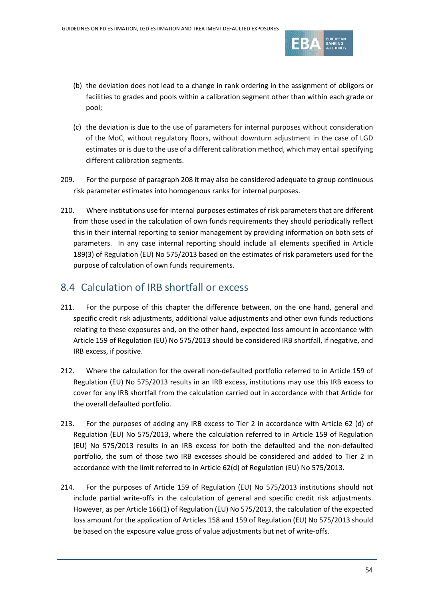

- (b) the deviation does not lead to a change in rank ordering in the assignment of obligors or facilities to grades and pools within a calibration segment other than within each grade or pool;
- (c) the deviation is due to the use of parameters for internal purposes without consideration of the MoC, without regulatory floors, without downturn adjustment in the case of LGD estimates or is due to the use of a different calibration method, which may entail specifying different calibration segments.
- 209. For the purpose of paragraph [208](#page-52-0) it may also be considered adequate to group continuous risk parameter estimates into homogenous ranks for internal purposes.
- 210. Where institutions use for internal purposes estimates of risk parameters that are different from those used in the calculation of own funds requirements they should periodically reflect this in their internal reporting to senior management by providing information on both sets of parameters. In any case internal reporting should include all elements specified in Article 189(3) of Regulation (EU) No 575/2013 based on the estimates of risk parameters used for the purpose of calculation of own funds requirements.

## 8.4 Calculation of IRB shortfall or excess

- 211. For the purpose of this chapter the difference between, on the one hand, general and specific credit risk adjustments, additional value adjustments and other own funds reductions relating to these exposures and, on the other hand, expected loss amount in accordance with Article 159 of Regulation (EU) No 575/2013 should be considered IRB shortfall, if negative, and IRB excess, if positive.
- 212. Where the calculation for the overall non-defaulted portfolio referred to in Article 159 of Regulation (EU) No 575/2013 results in an IRB excess, institutions may use this IRB excess to cover for any IRB shortfall from the calculation carried out in accordance with that Article for the overall defaulted portfolio.
- 213. For the purposes of adding any IRB excess to Tier 2 in accordance with Article 62 (d) of Regulation (EU) No 575/2013, where the calculation referred to in Article 159 of Regulation (EU) No 575/2013 results in an IRB excess for both the defaulted and the non-defaulted portfolio, the sum of those two IRB excesses should be considered and added to Tier 2 in accordance with the limit referred to in Article 62(d) of Regulation (EU) No 575/2013.
- 214. For the purposes of Article 159 of Regulation (EU) No 575/2013 institutions should not include partial write-offs in the calculation of general and specific credit risk adjustments. However, as per Article 166(1) of Regulation (EU) No 575/2013, the calculation of the expected loss amount for the application of Articles 158 and 159 of Regulation (EU) No 575/2013 should be based on the exposure value gross of value adjustments but net of write-offs.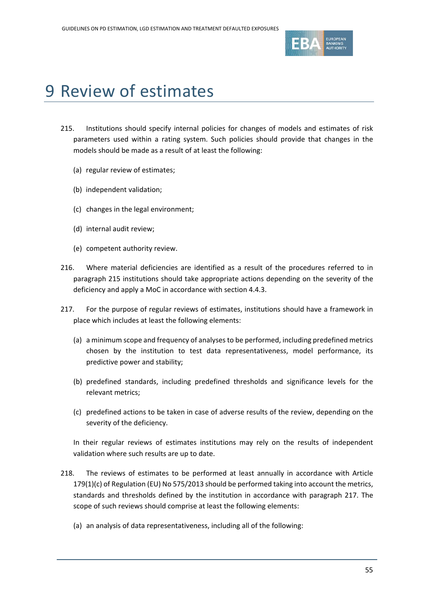

# 9 Review of estimates

- <span id="page-54-0"></span>215. Institutions should specify internal policies for changes of models and estimates of risk parameters used within a rating system. Such policies should provide that changes in the models should be made as a result of at least the following:
	- (a) regular review of estimates;
	- (b) independent validation;
	- (c) changes in the legal environment;
	- (d) internal audit review;
	- (e) competent authority review.
- 216. Where material deficiencies are identified as a result of the procedures referred to in paragraph [215](#page-54-0) institutions should take appropriate actions depending on the severity of the deficiency and apply a MoC in accordance with sectio[n 4.4.3.](#page-13-3)
- <span id="page-54-1"></span>217. For the purpose of regular reviews of estimates, institutions should have a framework in place which includes at least the following elements:
	- (a) a minimum scope and frequency of analyses to be performed, including predefined metrics chosen by the institution to test data representativeness, model performance, its predictive power and stability;
	- (b) predefined standards, including predefined thresholds and significance levels for the relevant metrics;
	- (c) predefined actions to be taken in case of adverse results of the review, depending on the severity of the deficiency.

In their regular reviews of estimates institutions may rely on the results of independent validation where such results are up to date.

- <span id="page-54-2"></span>218. The reviews of estimates to be performed at least annually in accordance with Article 179(1)(c) of Regulation (EU) No 575/2013 should be performed taking into account the metrics, standards and thresholds defined by the institution in accordance with paragraph [217.](#page-54-1) The scope of such reviews should comprise at least the following elements:
	- (a) an analysis of data representativeness, including all of the following: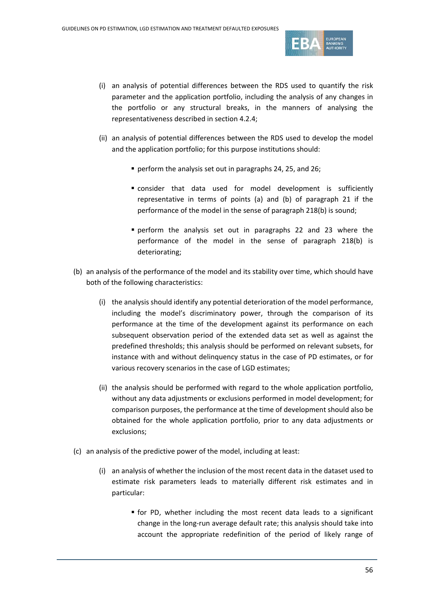

- (i) an analysis of potential differences between the RDS used to quantify the risk parameter and the application portfolio, including the analysis of any changes in the portfolio or any structural breaks, in the manners of analysing the representativeness described in sectio[n 4.2.4;](#page-9-1)
- (ii) an analysis of potential differences between the RDS used to develop the model and the application portfolio; for this purpose institutions should:
	- perform the analysis set out in paragraph[s 24,](#page-8-0) [25,](#page-8-1) an[d 26;](#page-8-2)
	- consider that data used for model development is sufficiently representative in terms of points (a) and (b) of paragraph [21](#page-7-0) if the performance of the model in the sense of paragrap[h 218\(](#page-54-2)b) is sound;
	- perform the analysis set out in paragraphs [22](#page-7-1) and [23](#page-8-3) where the performance of the model in the sense of paragraph [218\(](#page-54-2)b) is deteriorating;
- (b) an analysis of the performance of the model and its stability over time, which should have both of the following characteristics:
	- (i) the analysis should identify any potential deterioration of the model performance, including the model's discriminatory power, through the comparison of its performance at the time of the development against its performance on each subsequent observation period of the extended data set as well as against the predefined thresholds; this analysis should be performed on relevant subsets, for instance with and without delinquency status in the case of PD estimates, or for various recovery scenarios in the case of LGD estimates;
	- (ii) the analysis should be performed with regard to the whole application portfolio, without any data adjustments or exclusions performed in model development; for comparison purposes, the performance at the time of development should also be obtained for the whole application portfolio, prior to any data adjustments or exclusions;
- (c) an analysis of the predictive power of the model, including at least:
	- (i) an analysis of whether the inclusion of the most recent data in the dataset used to estimate risk parameters leads to materially different risk estimates and in particular:
		- for PD, whether including the most recent data leads to a significant change in the long-run average default rate; this analysis should take into account the appropriate redefinition of the period of likely range of